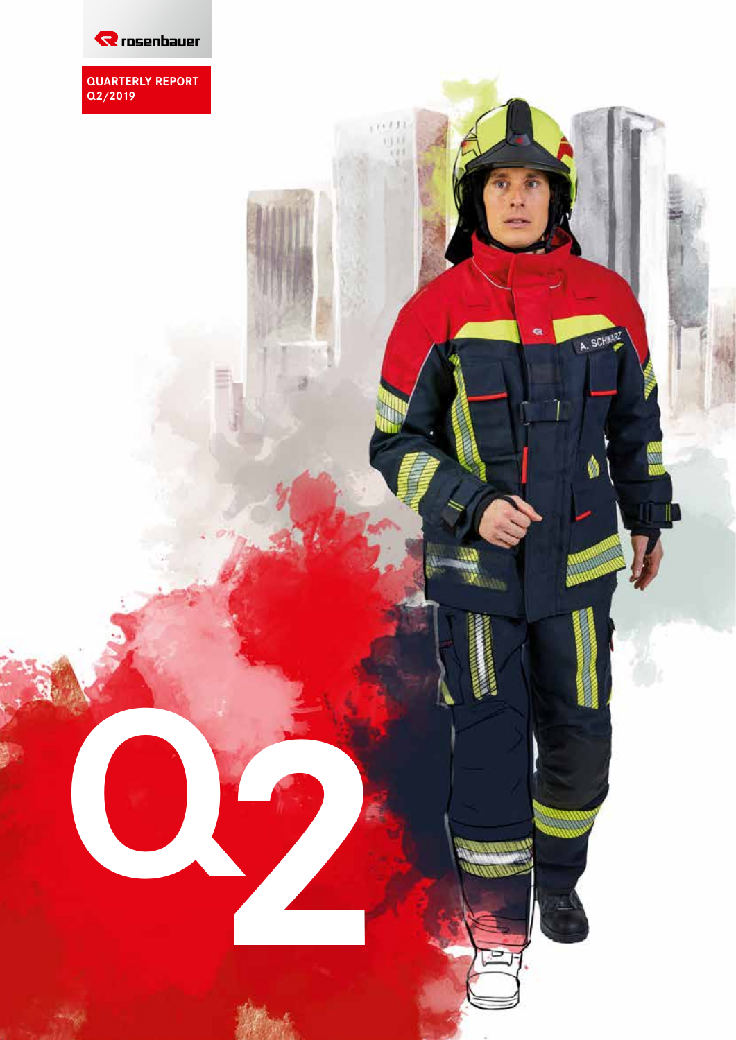

**QUARTERLY REPORT Q2/2019**

 $\frac{(1+\delta)\Gamma(1)}{\delta\delta(1)}$ 

ä

A. SCHAARZ

**Q2**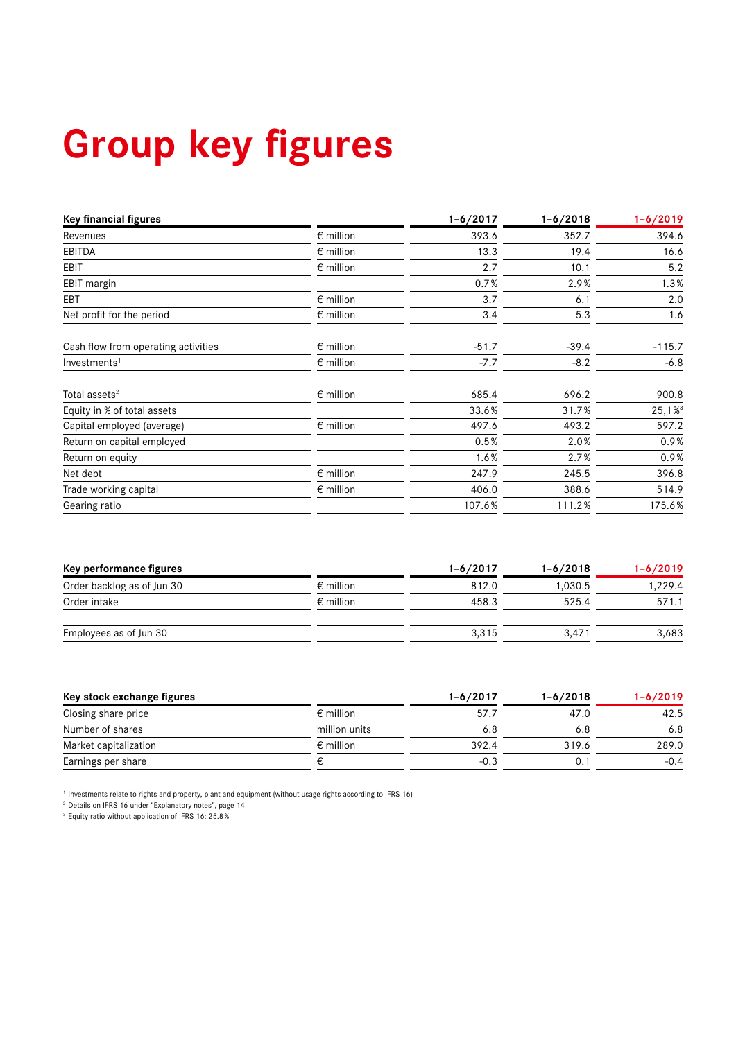# **Group key figures**

| <b>Key financial figures</b>        |                    | $1 - 6/2017$ | $1 - 6/2018$ | $1 - 6/2019$ |
|-------------------------------------|--------------------|--------------|--------------|--------------|
| Revenues                            | $\epsilon$ million | 393.6        | 352.7        | 394.6        |
| <b>EBITDA</b>                       | $\epsilon$ million | 13.3         | 19.4         | 16.6         |
| <b>EBIT</b>                         | $\epsilon$ million | 2.7          | 10.1         | 5.2          |
| EBIT margin                         |                    | 0.7%         | 2.9%         | 1.3%         |
| EBT                                 | $\epsilon$ million | 3.7          | 6.1          | 2.0          |
| Net profit for the period           | $\epsilon$ million | 3.4          | 5.3          | 1.6          |
| Cash flow from operating activities | $\epsilon$ million | $-51.7$      | $-39.4$      | $-115.7$     |
| Investments <sup>1</sup>            | $\epsilon$ million | $-7.7$       | $-8.2$       | $-6.8$       |
| Total assets <sup>2</sup>           | $\epsilon$ million | 685.4        | 696.2        | 900.8        |
| Equity in % of total assets         |                    | 33.6%        | 31.7%        | 25,1%        |
| Capital employed (average)          | $\epsilon$ million | 497.6        | 493.2        | 597.2        |
| Return on capital employed          |                    | 0.5%         | 2.0%         | 0.9%         |
| Return on equity                    |                    | 1.6%         | 2.7%         | 0.9%         |
| Net debt                            | $\epsilon$ million | 247.9        | 245.5        | 396.8        |
| Trade working capital               | $\epsilon$ million | 406.0        | 388.6        | 514.9        |
| Gearing ratio                       |                    | 107.6%       | 111.2%       | 175.6%       |

| Key performance figures    |                    | $1 - 6/2017$ | $1 - 6/2018$ | $1 - 6/2019$ |
|----------------------------|--------------------|--------------|--------------|--------------|
| Order backlog as of Jun 30 | $\epsilon$ million | 812.0        | 1.030.5      | 1,229.4      |
| Order intake               | $\epsilon$ million | 458.3        | 525.4        | 571.1        |
| Employees as of Jun 30     |                    | 3.315        | 3.471        | 3,683        |

| Key stock exchange figures |                    | 1-6/2017 | $1 - 6/2018$ | $1 - 6/2019$ |
|----------------------------|--------------------|----------|--------------|--------------|
| Closing share price        | $\epsilon$ million | 57.7     | 47.0         | 42.5         |
| Number of shares           | million units      | 6.8      | 6.8          | 6.8          |
| Market capitalization      | $\epsilon$ million | 392.4    | 319.6        | 289.0        |
| Earnings per share         |                    | $-0.3$   | 0.           | $-0.4$       |

1 Investments relate to rights and property, plant and equipment (without usage rights according to IFRS 16)

2 Details on IFRS 16 under "Explanatory notes", page 14

3 Equity ratio without application of IFRS 16: 25.8%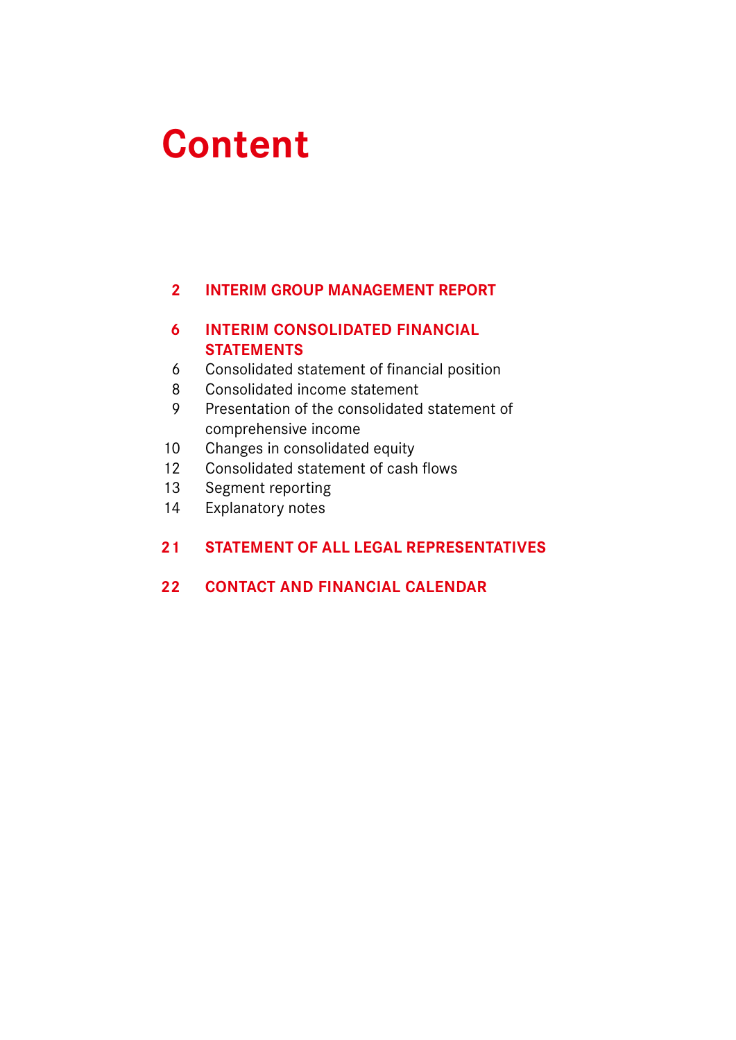# **Content**

# **INTERIM GROUP MANAGEMENT REPORT**

# **INTERIM CONSOLIDATED FINANCIAL STATEMENTS**

- Consolidated statement of financial position
- Consolidated income statement
- Presentation of the consolidated statement of comprehensive income
- Changes in consolidated equity
- Consolidated statement of cash flows
- Segment reporting
- Explanatory notes

# **STATEMENT OF ALL LEGAL REPRESENTATIVES**

# **22 CONTACT AND FINANCIAL CALENDAR**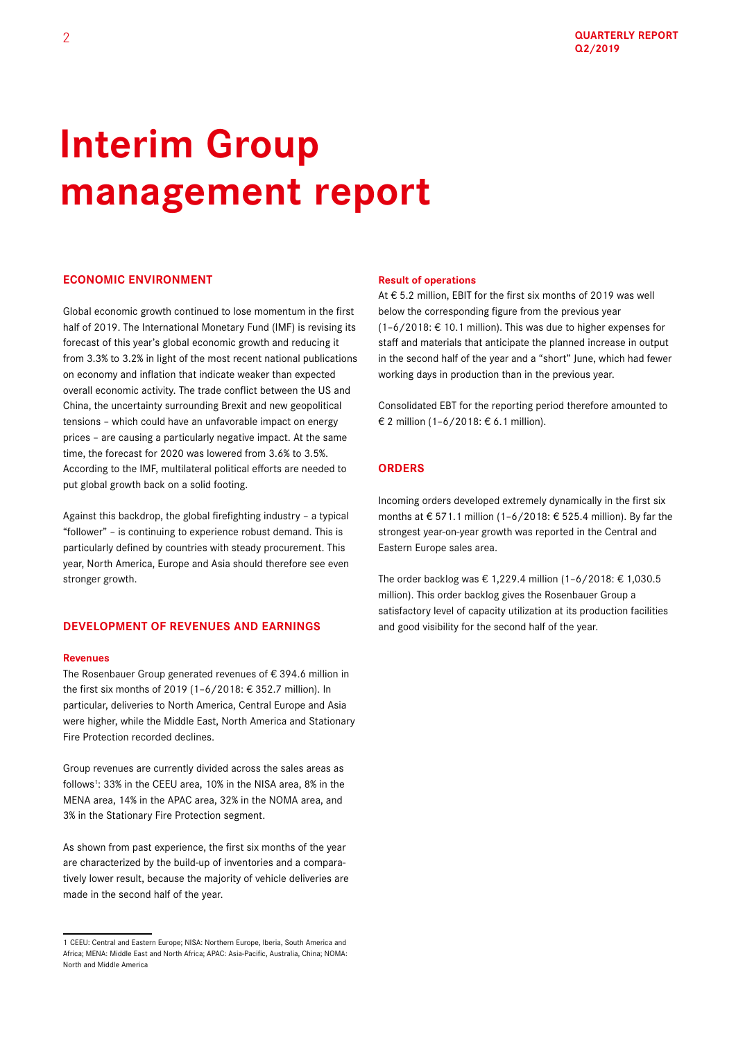# **Interim Group management report**

# **ECONOMIC ENVIRONMENT**

Global economic growth continued to lose momentum in the first half of 2019. The International Monetary Fund (IMF) is revising its forecast of this year's global economic growth and reducing it from 3.3% to 3.2% in light of the most recent national publications on economy and inflation that indicate weaker than expected overall economic activity. The trade conflict between the US and China, the uncertainty surrounding Brexit and new geopolitical tensions – which could have an unfavorable impact on energy prices – are causing a particularly negative impact. At the same time, the forecast for 2020 was lowered from 3.6% to 3.5%. According to the IMF, multilateral political efforts are needed to put global growth back on a solid footing.

Against this backdrop, the global firefighting industry – a typical "follower" – is continuing to experience robust demand. This is particularly defined by countries with steady procurement. This year, North America, Europe and Asia should therefore see even stronger growth.

## **DEVELOPMENT OF REVENUES AND EARNINGS**

#### **Revenues**

The Rosenbauer Group generated revenues of  $\epsilon$  394.6 million in the first six months of 2019 (1–6/2018: € 352.7 million). In particular, deliveries to North America, Central Europe and Asia were higher, while the Middle East, North America and Stationary Fire Protection recorded declines.

Group revenues are currently divided across the sales areas as follows<sup>1</sup>: 33% in the CEEU area, 10% in the NISA area, 8% in the MENA area, 14% in the APAC area, 32% in the NOMA area, and 3% in the Stationary Fire Protection segment.

As shown from past experience, the first six months of the year are characterized by the build-up of inventories and a comparatively lower result, because the majority of vehicle deliveries are made in the second half of the year.

#### **Result of operations**

At € 5.2 million, EBIT for the first six months of 2019 was well below the corresponding figure from the previous year (1–6/2018: € 10.1 million). This was due to higher expenses for staff and materials that anticipate the planned increase in output in the second half of the year and a "short" June, which had fewer working days in production than in the previous year.

Consolidated EBT for the reporting period therefore amounted to € 2 million (1–6/2018: € 6.1 million).

# **ORDERS**

Incoming orders developed extremely dynamically in the first six months at € 571.1 million (1–6/2018: € 525.4 million). By far the strongest year-on-year growth was reported in the Central and Eastern Europe sales area.

The order backlog was € 1,229.4 million (1–6/2018: € 1,030.5 million). This order backlog gives the Rosenbauer Group a satisfactory level of capacity utilization at its production facilities and good visibility for the second half of the year.

<sup>1</sup> CEEU: Central and Eastern Europe; NISA: Northern Europe, Iberia, South America and Africa; MENA: Middle East and North Africa; APAC: Asia-Pacific, Australia, China; NOMA: North and Middle America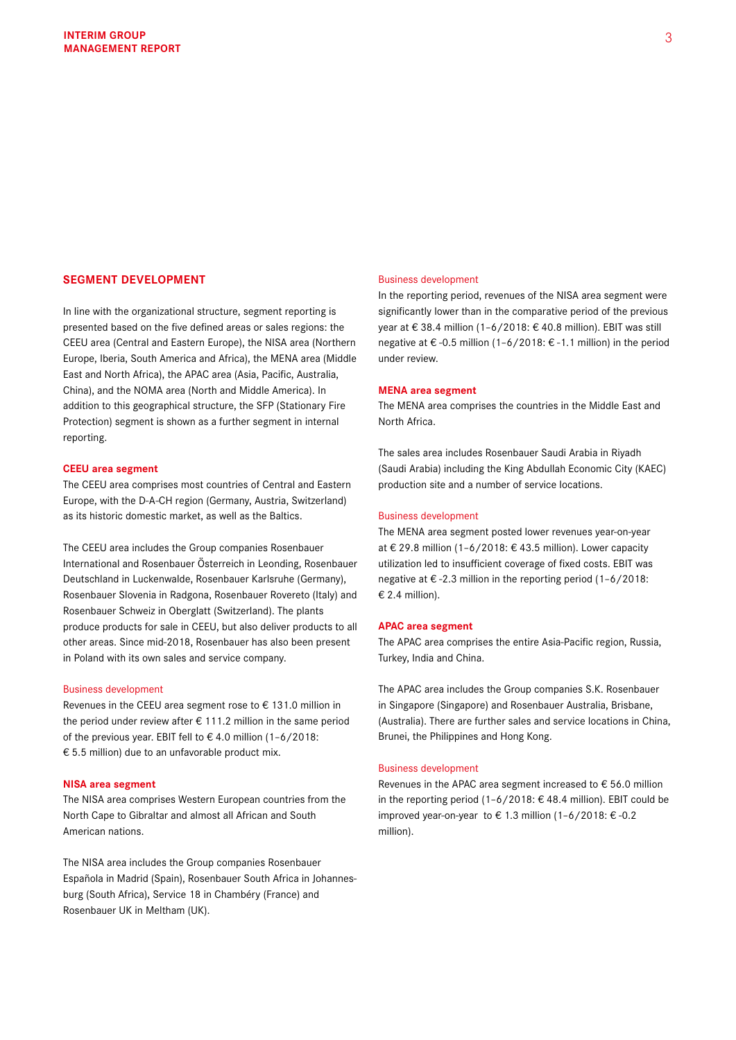# **SEGMENT DEVELOPMENT**

In line with the organizational structure, segment reporting is presented based on the five defined areas or sales regions: the CEEU area (Central and Eastern Europe), the NISA area (Northern Europe, Iberia, South America and Africa), the MENA area (Middle East and North Africa), the APAC area (Asia, Pacific, Australia, China), and the NOMA area (North and Middle America). In addition to this geographical structure, the SFP (Stationary Fire Protection) segment is shown as a further segment in internal reporting.

#### **CEEU area segment**

The CEEU area comprises most countries of Central and Eastern Europe, with the D-A-CH region (Germany, Austria, Switzerland) as its historic domestic market, as well as the Baltics.

The CEEU area includes the Group companies Rosenbauer International and Rosenbauer Österreich in Leonding, Rosenbauer Deutschland in Luckenwalde, Rosenbauer Karlsruhe (Germany), Rosenbauer Slovenia in Radgona, Rosenbauer Rovereto (Italy) and Rosenbauer Schweiz in Oberglatt (Switzerland). The plants produce products for sale in CEEU, but also deliver products to all other areas. Since mid-2018, Rosenbauer has also been present in Poland with its own sales and service company.

#### Business development

Revenues in the CEEU area segment rose to € 131.0 million in the period under review after  $\epsilon$  111.2 million in the same period of the previous year. EBIT fell to € 4.0 million (1–6/2018:  $\epsilon$  5.5 million) due to an unfavorable product mix.

#### **NISA area segment**

The NISA area comprises Western European countries from the North Cape to Gibraltar and almost all African and South American nations.

The NISA area includes the Group companies Rosenbauer Española in Madrid (Spain), Rosenbauer South Africa in Johannesburg (South Africa), Service 18 in Chambéry (France) and Rosenbauer UK in Meltham (UK).

#### Business development

In the reporting period, revenues of the NISA area segment were significantly lower than in the comparative period of the previous year at € 38.4 million (1–6/2018: € 40.8 million). EBIT was still negative at € -0.5 million (1–6/2018: € -1.1 million) in the period under review.

#### **MENA area segment**

The MENA area comprises the countries in the Middle East and North Africa.

The sales area includes Rosenbauer Saudi Arabia in Riyadh (Saudi Arabia) including the King Abdullah Economic City (KAEC) production site and a number of service locations.

#### Business development

The MENA area segment posted lower revenues year-on-year at € 29.8 million (1–6/2018: € 43.5 million). Lower capacity utilization led to insufficient coverage of fixed costs. EBIT was negative at €-2.3 million in the reporting period  $(1-6/2018)$ :  $€$  2.4 million).

#### **APAC area segment**

The APAC area comprises the entire Asia-Pacific region, Russia, Turkey, India and China.

The APAC area includes the Group companies S.K. Rosenbauer in Singapore (Singapore) and Rosenbauer Australia, Brisbane, (Australia). There are further sales and service locations in China, Brunei, the Philippines and Hong Kong.

#### Business development

Revenues in the APAC area segment increased to € 56.0 million in the reporting period (1–6/2018: € 48.4 million). EBIT could be improved year-on-year to € 1.3 million (1–6/2018: € -0.2 million).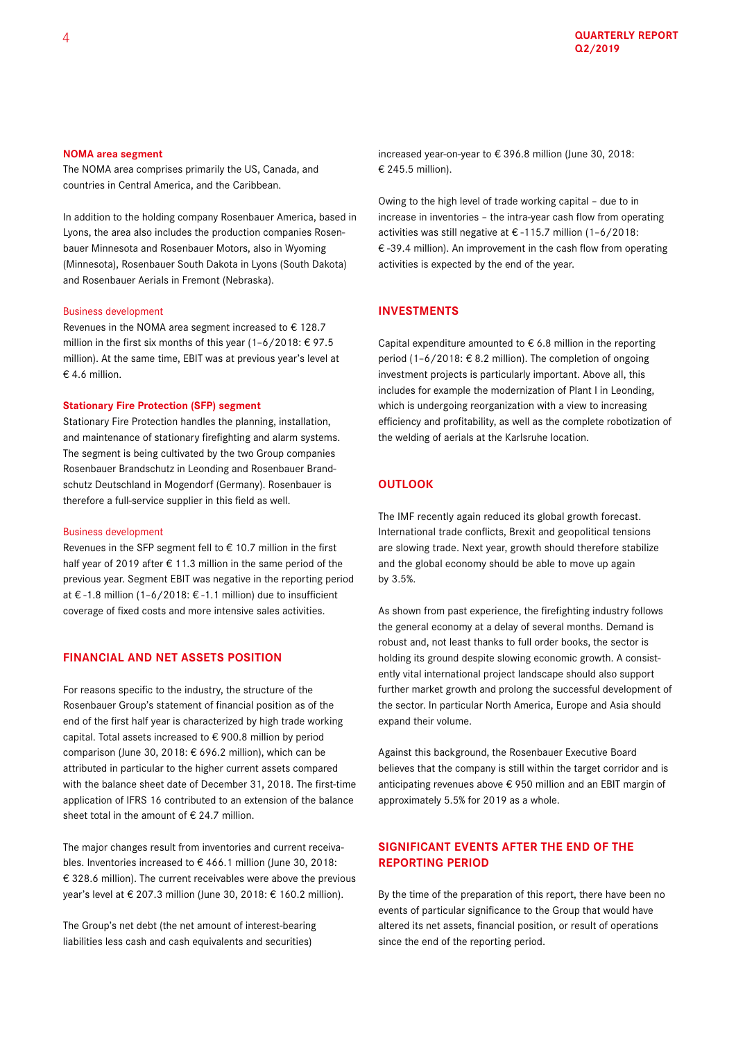#### **NOMA area segment**

The NOMA area comprises primarily the US, Canada, and countries in Central America, and the Caribbean.

In addition to the holding company Rosenbauer America, based in Lyons, the area also includes the production companies Rosenbauer Minnesota and Rosenbauer Motors, also in Wyoming (Minnesota), Rosenbauer South Dakota in Lyons (South Dakota) and Rosenbauer Aerials in Fremont (Nebraska).

#### Business development

Revenues in the NOMA area segment increased to  $\epsilon$  128.7 million in the first six months of this year (1-6/2018: €97.5) million). At the same time, EBIT was at previous year's level at € 4.6 million.

#### **Stationary Fire Protection (SFP) segment**

Stationary Fire Protection handles the planning, installation, and maintenance of stationary firefighting and alarm systems. The segment is being cultivated by the two Group companies Rosenbauer Brandschutz in Leonding and Rosenbauer Brandschutz Deutschland in Mogendorf (Germany). Rosenbauer is therefore a full-service supplier in this field as well.

#### Business development

Revenues in the SFP segment fell to € 10.7 million in the first half year of 2019 after € 11.3 million in the same period of the previous year. Segment EBIT was negative in the reporting period at € -1.8 million (1–6/2018: € -1.1 million) due to insufficient coverage of fixed costs and more intensive sales activities.

### **FINANCIAL AND NET ASSETS POSITION**

For reasons specific to the industry, the structure of the Rosenbauer Group's statement of financial position as of the end of the first half year is characterized by high trade working capital. Total assets increased to € 900.8 million by period comparison (June 30, 2018: € 696.2 million), which can be attributed in particular to the higher current assets compared with the balance sheet date of December 31, 2018. The first-time application of IFRS 16 contributed to an extension of the balance sheet total in the amount of  $\epsilon$  24.7 million.

The major changes result from inventories and current receivables. Inventories increased to € 466.1 million (June 30, 2018: € 328.6 million). The current receivables were above the previous year's level at € 207.3 million (June 30, 2018: € 160.2 million).

The Group's net debt (the net amount of interest-bearing liabilities less cash and cash equivalents and securities)

increased year-on-year to € 396.8 million (June 30, 2018: € 245.5 million).

Owing to the high level of trade working capital – due to in increase in inventories – the intra-year cash flow from operating activities was still negative at € -115.7 million (1–6/2018: € -39.4 million). An improvement in the cash flow from operating activities is expected by the end of the year.

## **INVESTMENTS**

Capital expenditure amounted to  $\epsilon$  6.8 million in the reporting period (1-6/2018:  $\in$  8.2 million). The completion of ongoing investment projects is particularly important. Above all, this includes for example the modernization of Plant I in Leonding, which is undergoing reorganization with a view to increasing efficiency and profitability, as well as the complete robotization of the welding of aerials at the Karlsruhe location.

## **OUTLOOK**

The IMF recently again reduced its global growth forecast. International trade conflicts, Brexit and geopolitical tensions are slowing trade. Next year, growth should therefore stabilize and the global economy should be able to move up again by 3.5%.

As shown from past experience, the firefighting industry follows the general economy at a delay of several months. Demand is robust and, not least thanks to full order books, the sector is holding its ground despite slowing economic growth. A consistently vital international project landscape should also support further market growth and prolong the successful development of the sector. In particular North America, Europe and Asia should expand their volume.

Against this background, the Rosenbauer Executive Board believes that the company is still within the target corridor and is anticipating revenues above € 950 million and an EBIT margin of approximately 5.5% for 2019 as a whole.

# **SIGNIFICANT EVENTS AFTER THE END OF THE REPORTING PERIOD**

By the time of the preparation of this report, there have been no events of particular significance to the Group that would have altered its net assets, financial position, or result of operations since the end of the reporting period.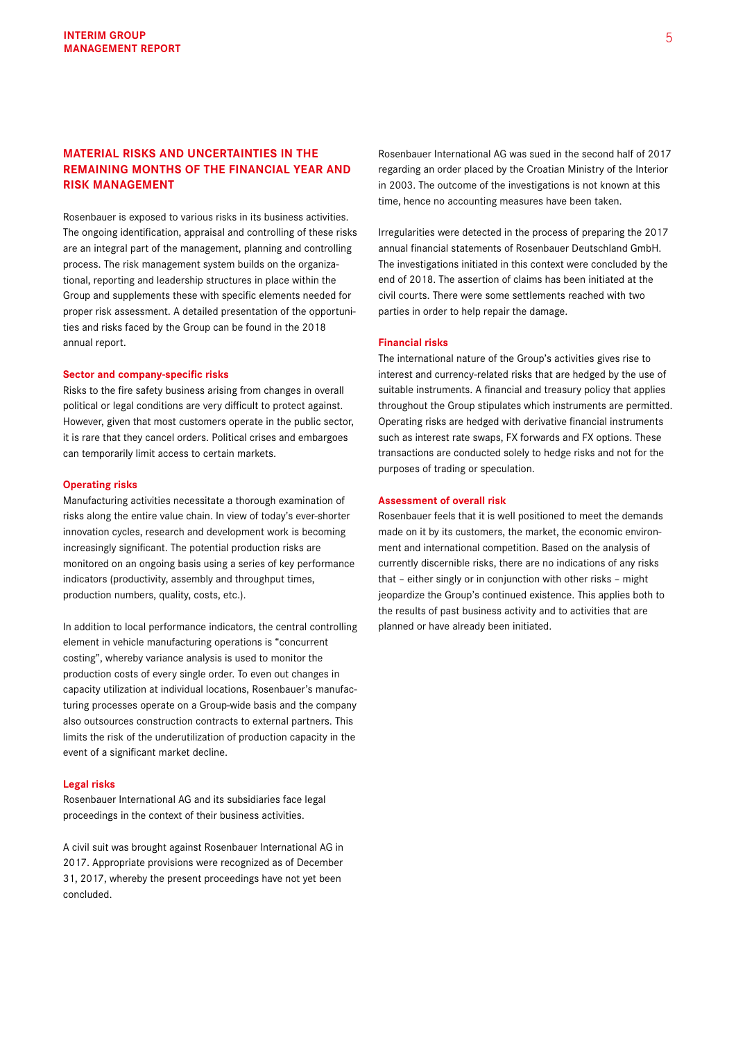# **MATERIAL RISKS AND UNCERTAINTIES IN THE REMAINING MONTHS OF THE FINANCIAL YEAR AND RISK MANAGEMENT**

Rosenbauer is exposed to various risks in its business activities. The ongoing identification, appraisal and controlling of these risks are an integral part of the management, planning and controlling process. The risk management system builds on the organizational, reporting and leadership structures in place within the Group and supplements these with specific elements needed for proper risk assessment. A detailed presentation of the opportunities and risks faced by the Group can be found in the 2018 annual report.

#### **Sector and company-specific risks**

Risks to the fire safety business arising from changes in overall political or legal conditions are very difficult to protect against. However, given that most customers operate in the public sector, it is rare that they cancel orders. Political crises and embargoes can temporarily limit access to certain markets.

#### **Operating risks**

Manufacturing activities necessitate a thorough examination of risks along the entire value chain. In view of today's ever-shorter innovation cycles, research and development work is becoming increasingly significant. The potential production risks are monitored on an ongoing basis using a series of key performance indicators (productivity, assembly and throughput times, production numbers, quality, costs, etc.).

In addition to local performance indicators, the central controlling element in vehicle manufacturing operations is "concurrent costing", whereby variance analysis is used to monitor the production costs of every single order. To even out changes in capacity utilization at individual locations, Rosenbauer's manufacturing processes operate on a Group-wide basis and the company also outsources construction contracts to external partners. This limits the risk of the underutilization of production capacity in the event of a significant market decline.

#### **Legal risks**

Rosenbauer International AG and its subsidiaries face legal proceedings in the context of their business activities.

A civil suit was brought against Rosenbauer International AG in 2017. Appropriate provisions were recognized as of December 31, 2017, whereby the present proceedings have not yet been concluded.

Rosenbauer International AG was sued in the second half of 2017 regarding an order placed by the Croatian Ministry of the Interior in 2003. The outcome of the investigations is not known at this time, hence no accounting measures have been taken.

Irregularities were detected in the process of preparing the 2017 annual financial statements of Rosenbauer Deutschland GmbH. The investigations initiated in this context were concluded by the end of 2018. The assertion of claims has been initiated at the civil courts. There were some settlements reached with two parties in order to help repair the damage.

#### **Financial risks**

The international nature of the Group's activities gives rise to interest and currency-related risks that are hedged by the use of suitable instruments. A financial and treasury policy that applies throughout the Group stipulates which instruments are permitted. Operating risks are hedged with derivative financial instruments such as interest rate swaps, FX forwards and FX options. These transactions are conducted solely to hedge risks and not for the purposes of trading or speculation.

#### **Assessment of overall risk**

Rosenbauer feels that it is well positioned to meet the demands made on it by its customers, the market, the economic environment and international competition. Based on the analysis of currently discernible risks, there are no indications of any risks that – either singly or in conjunction with other risks – might jeopardize the Group's continued existence. This applies both to the results of past business activity and to activities that are planned or have already been initiated.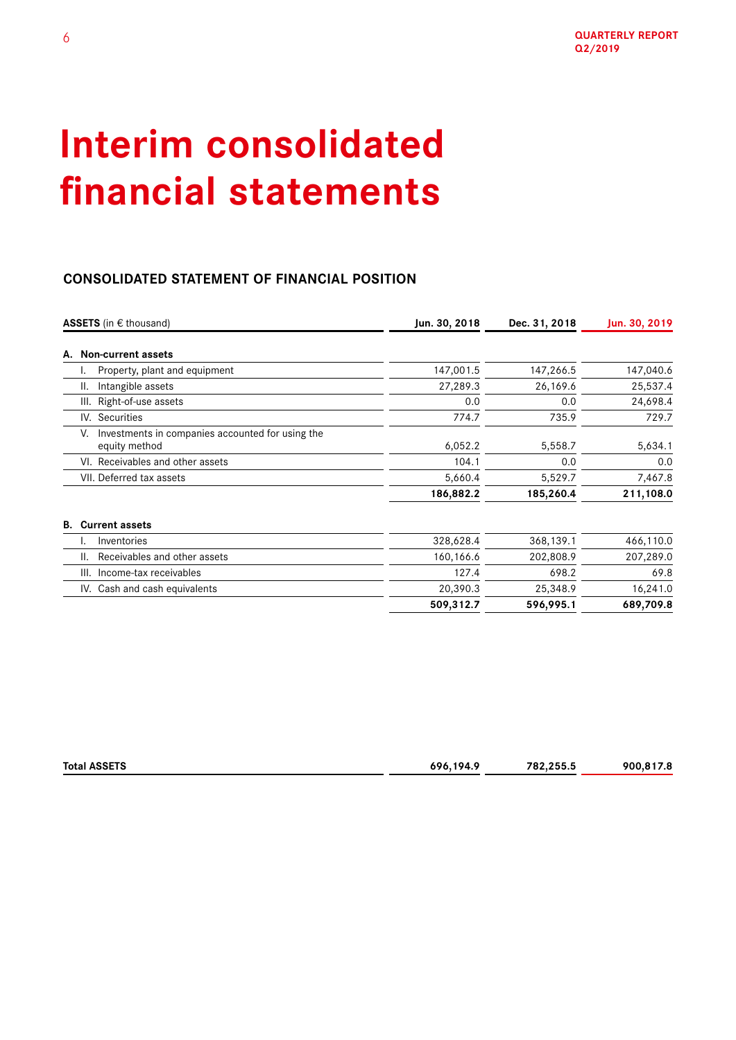# **Interim consolidated financial statements**

# **CONSOLIDATED STATEMENT OF FINANCIAL POSITION**

|    | <b>ASSETS</b> (in $\epsilon$ thousand)                                  | Jun. 30, 2018 | Dec. 31, 2018 | Jun. 30, 2019 |
|----|-------------------------------------------------------------------------|---------------|---------------|---------------|
|    | A. Non-current assets                                                   |               |               |               |
|    | Property, plant and equipment<br>۱.                                     | 147,001.5     | 147,266.5     | 147,040.6     |
|    | Intangible assets<br>Ш.                                                 | 27,289.3      | 26,169.6      | 25,537.4      |
|    | Right-of-use assets<br>III.                                             | 0.0           | 0.0           | 24,698.4      |
|    | IV. Securities                                                          | 774.7         | 735.9         | 729.7         |
|    | Investments in companies accounted for using the<br>V.<br>equity method | 6,052.2       | 5,558.7       | 5,634.1       |
|    | VI. Receivables and other assets                                        | 104.1         | 0.0           | 0.0           |
|    | VII. Deferred tax assets                                                | 5,660.4       | 5,529.7       | 7,467.8       |
|    |                                                                         | 186,882.2     | 185,260.4     | 211,108.0     |
| В. | <b>Current assets</b>                                                   |               |               |               |
|    | Inventories<br>٠.                                                       | 328,628.4     | 368,139.1     | 466,110.0     |
|    | Receivables and other assets<br>Ш.                                      | 160,166.6     | 202,808.9     | 207,289.0     |
|    | Income-tax receivables<br>III.                                          | 127.4         | 698.2         | 69.8          |
|    | IV. Cash and cash equivalents                                           | 20,390.3      | 25,348.9      | 16,241.0      |
|    |                                                                         | 509,312.7     | 596,995.1     | 689,709.8     |

| Total<br>I ACCETC<br>65 E 6 | 194 <sup>c</sup><br>607<br>$ -$<br>. | 782.255.5<br>JJ.u<br>. | onr<br>. .<br>___ |
|-----------------------------|--------------------------------------|------------------------|-------------------|
|                             |                                      |                        |                   |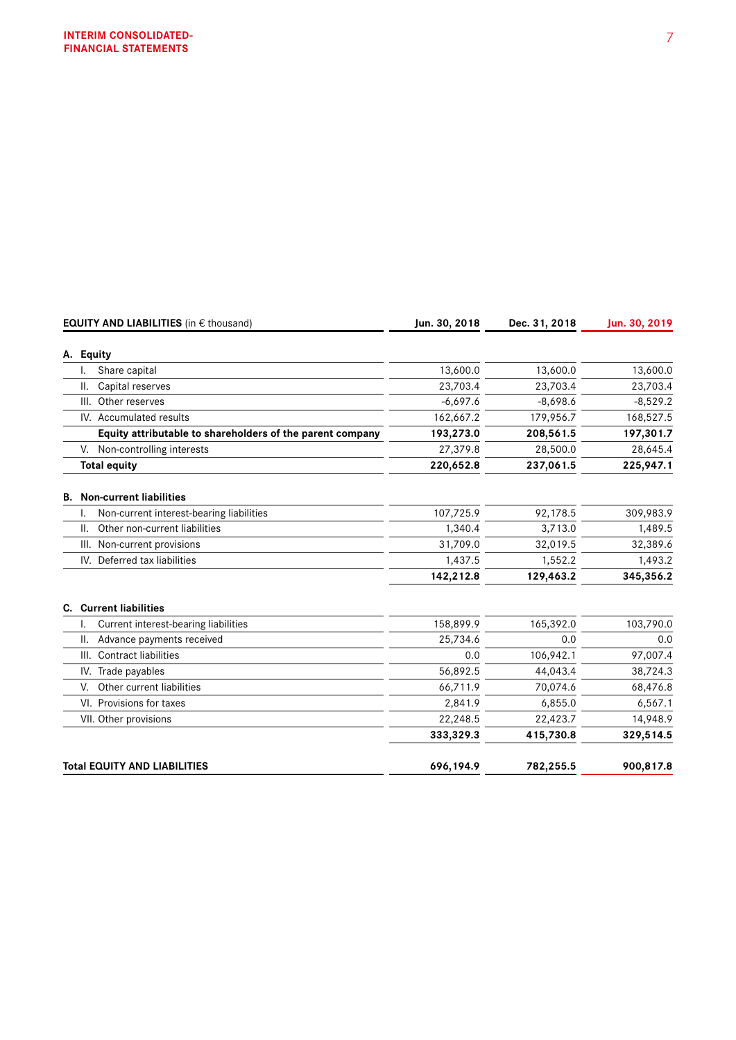|           | <b>EQUITY AND LIABILITIES</b> (in € thousand)             | Jun. 30, 2018 | Dec. 31, 2018 | Jun. 30, 2019 |
|-----------|-----------------------------------------------------------|---------------|---------------|---------------|
| A. Equity |                                                           |               |               |               |
|           | Share capital                                             | 13,600.0      | 13,600.0      | 13,600.0      |
| Ш.        | Capital reserves                                          | 23,703.4      | 23,703.4      | 23,703.4      |
| III.      | Other reserves                                            | $-6,697.6$    | $-8,698.6$    | $-8,529.2$    |
|           | IV. Accumulated results                                   | 162,667.2     | 179,956.7     | 168,527.5     |
|           | Equity attributable to shareholders of the parent company | 193,273.0     | 208,561.5     | 197,301.7     |
| V.        | Non-controlling interests                                 | 27,379.8      | 28,500.0      | 28,645.4      |
|           | <b>Total equity</b>                                       | 220,652.8     | 237,061.5     | 225,947.1     |
|           | <b>B.</b> Non-current liabilities                         |               |               |               |
|           | Non-current interest-bearing liabilities                  | 107,725.9     | 92,178.5      | 309,983.9     |
| II.       | Other non-current liabilities                             | 1.340.4       | 3,713.0       | 1,489.5       |
| III.      | Non-current provisions                                    | 31.709.0      | 32,019.5      | 32,389.6      |
|           | IV. Deferred tax liabilities                              | 1,437.5       | 1,552.2       | 1,493.2       |
|           |                                                           | 142,212.8     | 129,463.2     | 345,356.2     |
|           | <b>C.</b> Current liabilities                             |               |               |               |
|           | Current interest-bearing liabilities                      | 158,899.9     | 165,392.0     | 103,790.0     |
| Ш.        | Advance payments received                                 | 25,734.6      | 0.0           | 0.0           |
|           | III. Contract liabilities                                 | 0.0           | 106,942.1     | 97,007.4      |
|           | IV. Trade payables                                        | 56,892.5      | 44,043.4      | 38,724.3      |
| V.        | Other current liabilities                                 | 66,711.9      | 70,074.6      | 68,476.8      |
|           | VI. Provisions for taxes                                  | 2,841.9       | 6,855.0       | 6,567.1       |
|           | VII. Other provisions                                     | 22,248.5      | 22,423.7      | 14,948.9      |
|           |                                                           | 333,329.3     | 415,730.8     | 329,514.5     |
|           | <b>Total EQUITY AND LIABILITIES</b>                       | 696,194.9     | 782,255.5     | 900,817.8     |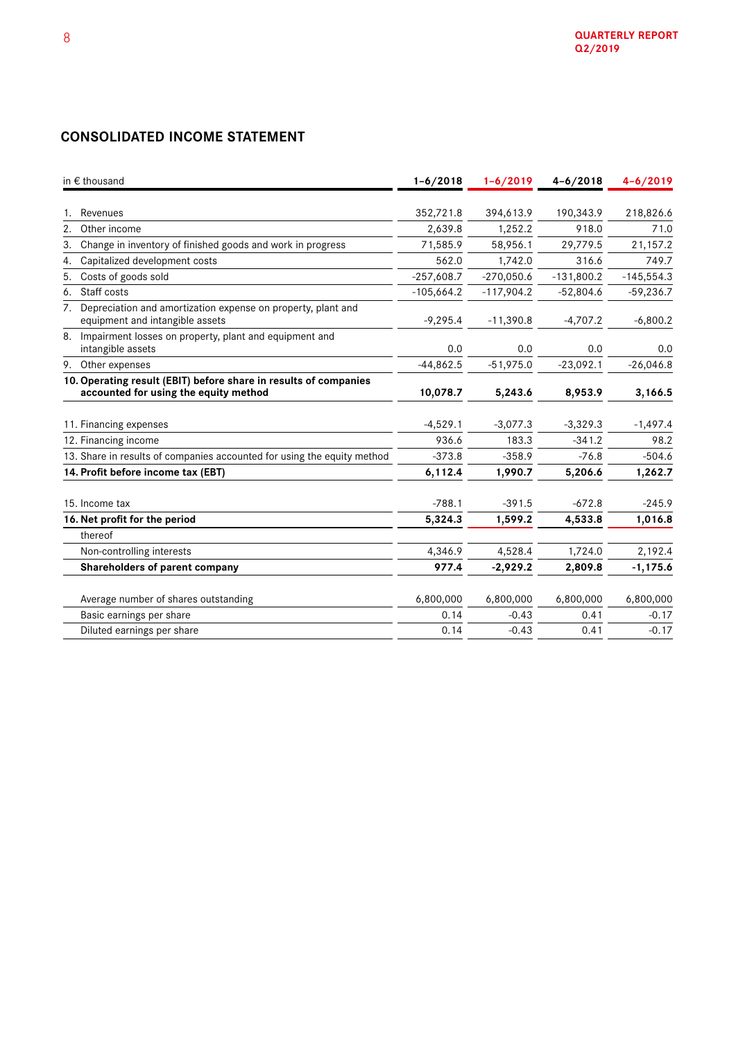# **CONSOLIDATED INCOME STATEMENT**

| in € thousand                                                                                             | $1 - 6/2018$         | $1 - 6/2019$         | $4 - 6 / 2018$     | $4 - 6 / 2019$    |  |
|-----------------------------------------------------------------------------------------------------------|----------------------|----------------------|--------------------|-------------------|--|
|                                                                                                           |                      |                      |                    |                   |  |
| Revenues<br>2.<br>Other income                                                                            | 352,721.8<br>2,639.8 | 394,613.9<br>1,252.2 | 190,343.9<br>918.0 | 218,826.6<br>71.0 |  |
|                                                                                                           |                      |                      |                    |                   |  |
| Change in inventory of finished goods and work in progress<br>3.                                          | 71,585.9             | 58,956.1             | 29,779.5           | 21,157.2          |  |
| Capitalized development costs<br>4.                                                                       | 562.0                | 1,742.0              | 316.6              | 749.7             |  |
| Costs of goods sold<br>5.                                                                                 | $-257,608.7$         | $-270,050.6$         | $-131,800.2$       | $-145,554.3$      |  |
| Staff costs<br>6.                                                                                         | $-105,664.2$         | $-117,904.2$         | $-52,804.6$        | $-59,236.7$       |  |
| Depreciation and amortization expense on property, plant and<br>7.<br>equipment and intangible assets     | $-9,295.4$           | $-11,390.8$          | $-4,707.2$         | $-6,800.2$        |  |
| 8. Impairment losses on property, plant and equipment and<br>intangible assets                            | 0.0                  | 0.0                  | 0.0                | 0.0               |  |
| 9. Other expenses                                                                                         | $-44,862.5$          | $-51,975.0$          | $-23,092.1$        | $-26,046.8$       |  |
| 10. Operating result (EBIT) before share in results of companies<br>accounted for using the equity method | 10,078.7             | 5,243.6              | 8,953.9            | 3,166.5           |  |
|                                                                                                           |                      |                      |                    |                   |  |
| 11. Financing expenses                                                                                    | $-4,529.1$           | $-3,077.3$           | $-3,329.3$         | $-1,497.4$        |  |
| 12. Financing income                                                                                      | 936.6                | 183.3                | $-341.2$           | 98.2              |  |
| 13. Share in results of companies accounted for using the equity method                                   | $-373.8$             | $-358.9$             | $-76.8$            | $-504.6$          |  |
| 14. Profit before income tax (EBT)                                                                        | 6,112.4              | 1,990.7              | 5,206.6            | 1,262.7           |  |
| 15. Income tax                                                                                            | $-788.1$             | $-391.5$             | $-672.8$           | $-245.9$          |  |
| 16. Net profit for the period                                                                             | 5,324.3              | 1,599.2              | 4,533.8            | 1,016.8           |  |
| thereof                                                                                                   |                      |                      |                    |                   |  |
| Non-controlling interests                                                                                 | 4,346.9              | 4,528.4              | 1,724.0            | 2,192.4           |  |
| Shareholders of parent company                                                                            | 977.4                | $-2,929.2$           | 2,809.8            | $-1, 175.6$       |  |
| Average number of shares outstanding                                                                      | 6,800,000            | 6,800,000            | 6,800,000          | 6,800,000         |  |
| Basic earnings per share                                                                                  | 0.14                 | $-0.43$              | 0.41               | $-0.17$           |  |
| Diluted earnings per share                                                                                | 0.14                 | $-0.43$              | 0.41               | $-0.17$           |  |
|                                                                                                           |                      |                      |                    |                   |  |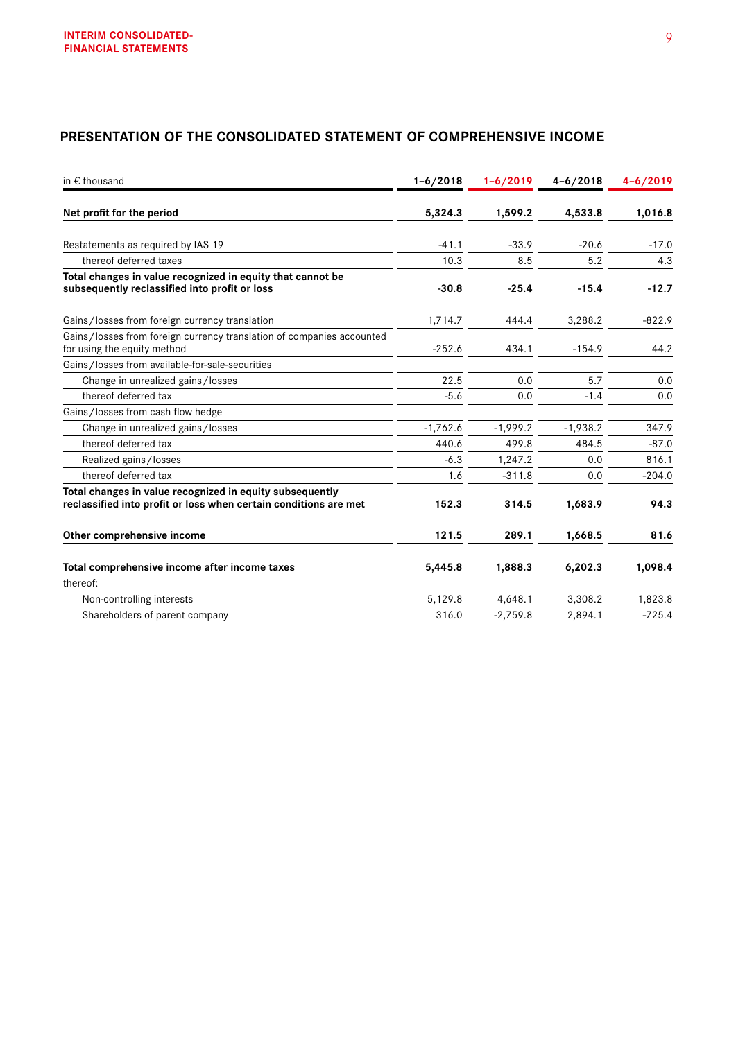# **PRESENTATION OF THE CONSOLIDATED STATEMENT OF COMPREHENSIVE INCOME**

| in $\epsilon$ thousand                                                                                                       | $1 - 6/2018$ | $1 - 6/2019$ | $4 - 6 / 2018$ | $4 - 6 / 2019$ |
|------------------------------------------------------------------------------------------------------------------------------|--------------|--------------|----------------|----------------|
| Net profit for the period                                                                                                    | 5,324.3      | 1,599.2      | 4,533.8        | 1,016.8        |
| Restatements as required by IAS 19                                                                                           | $-41.1$      | $-33.9$      | $-20.6$        | $-17.0$        |
| thereof deferred taxes                                                                                                       | 10.3         | 8.5          | 5.2            | 4.3            |
| Total changes in value recognized in equity that cannot be<br>subsequently reclassified into profit or loss                  | $-30.8$      | $-25.4$      | $-15.4$        | $-12.7$        |
| Gains/losses from foreign currency translation                                                                               | 1,714.7      | 444.4        | 3,288.2        | $-822.9$       |
| Gains/losses from foreign currency translation of companies accounted<br>for using the equity method                         | $-252.6$     | 434.1        | $-154.9$       | 44.2           |
| Gains/losses from available-for-sale-securities                                                                              |              |              |                |                |
| Change in unrealized gains/losses                                                                                            | 22.5         | 0.0          | 5.7            | 0.0            |
| thereof deferred tax                                                                                                         | $-5.6$       | 0.0          | $-1.4$         | 0.0            |
| Gains/losses from cash flow hedge                                                                                            |              |              |                |                |
| Change in unrealized gains/losses                                                                                            | $-1,762.6$   | $-1,999.2$   | $-1,938.2$     | 347.9          |
| thereof deferred tax                                                                                                         | 440.6        | 499.8        | 484.5          | $-87.0$        |
| Realized gains/losses                                                                                                        | $-6.3$       | 1,247.2      | 0.0            | 816.1          |
| thereof deferred tax                                                                                                         | 1.6          | $-311.8$     | 0.0            | $-204.0$       |
| Total changes in value recognized in equity subsequently<br>reclassified into profit or loss when certain conditions are met | 152.3        | 314.5        | 1,683.9        | 94.3           |
| Other comprehensive income                                                                                                   | 121.5        | 289.1        | 1,668.5        | 81.6           |
| Total comprehensive income after income taxes                                                                                | 5,445.8      | 1,888.3      | 6,202.3        | 1,098.4        |
| thereof:                                                                                                                     |              |              |                |                |
| Non-controlling interests                                                                                                    | 5,129.8      | 4,648.1      | 3,308.2        | 1,823.8        |
| Shareholders of parent company                                                                                               | 316.0        | $-2,759.8$   | 2,894.1        | $-725.4$       |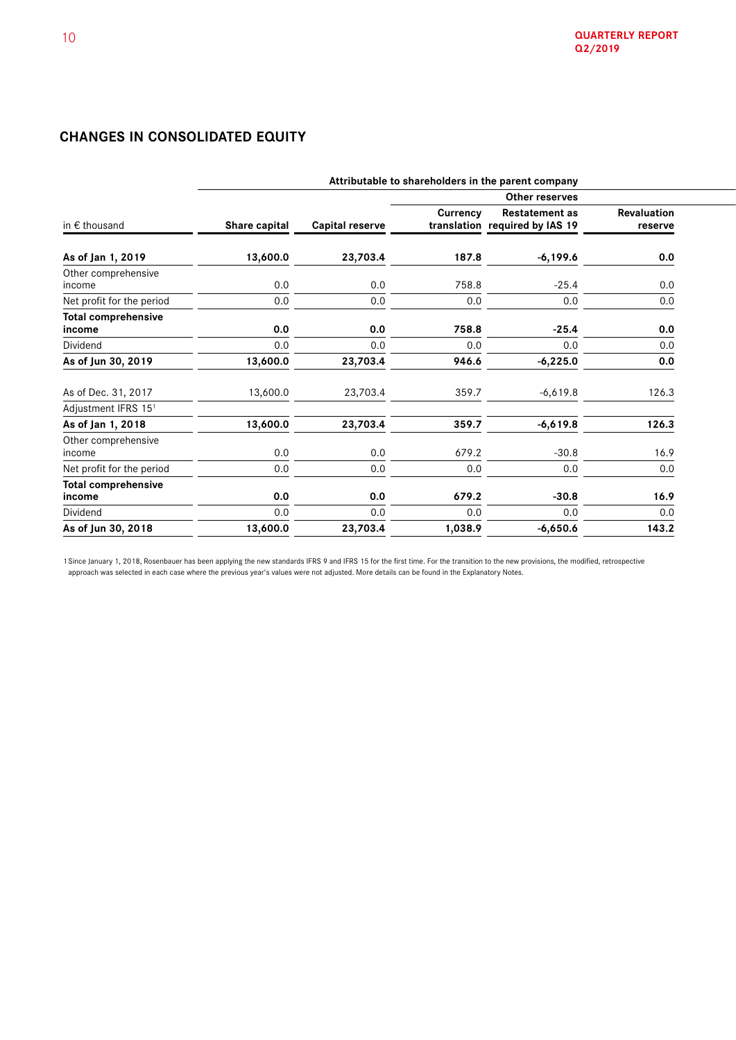# **CHANGES IN CONSOLIDATED EQUITY**

| Attributable to shareholders in the parent company |                        |                 |                       |                                              |
|----------------------------------------------------|------------------------|-----------------|-----------------------|----------------------------------------------|
| Other reserves                                     |                        |                 |                       |                                              |
| Share capital                                      | <b>Capital reserve</b> | <b>Currency</b> | <b>Restatement as</b> | Revaluation<br>reserve                       |
| 13,600.0                                           | 23,703.4               | 187.8           | $-6,199.6$            | 0.0                                          |
| 0.0                                                | 0.0                    | 758.8           | $-25.4$               | 0.0                                          |
| 0.0                                                | 0.0                    | 0.0             | 0.0                   | 0.0                                          |
| 0.0                                                | 0.0                    | 758.8           | $-25.4$               | 0.0                                          |
| 0.0                                                | 0.0                    | 0.0             | 0.0                   | 0.0                                          |
| 13,600.0                                           | 23,703.4               | 946.6           | $-6,225.0$            | 0.0                                          |
| 13,600.0                                           | 23,703.4               | 359.7           | $-6,619.8$            | 126.3                                        |
|                                                    |                        |                 |                       |                                              |
|                                                    |                        |                 |                       | 126.3                                        |
| 0.0                                                | 0.0                    | 679.2           | $-30.8$               | 16.9                                         |
| 0.0                                                | 0.0                    | 0.0             | 0.0                   | 0.0                                          |
| 0.0                                                | 0.0                    | 679.2           | $-30.8$               | 16.9                                         |
| 0.0                                                | 0.0                    | 0.0             | 0.0                   | 0.0                                          |
| 13,600.0                                           | 23,703.4               | 1,038.9         | $-6,650.6$            | 143.2                                        |
|                                                    | 13,600.0               | 23,703.4        | 359.7                 | translation required by IAS 19<br>$-6,619.8$ |

1 Since January 1, 2018, Rosenbauer has been applying the new standards IFRS 9 and IFRS 15 for the first time. For the transition to the new provisions, the modified, retrospective approach was selected in each case where the previous year's values were not adjusted. More details can be found in the Explanatory Notes.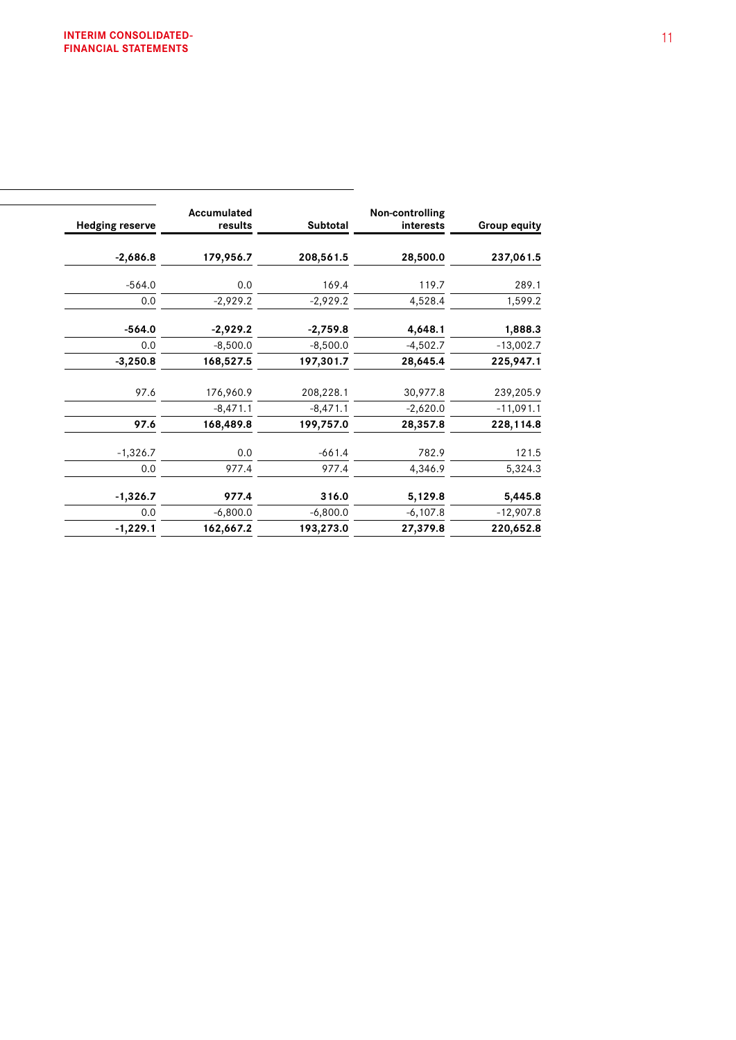| $-2,686.8$<br>179,956.7<br>208,561.5<br>28,500.0<br>$-564.0$<br>0.0<br>119.7<br>169.4<br>0.0<br>$-2,929.2$<br>$-2,929.2$<br>4,528.4<br>$-564.0$<br>$-2,929.2$<br>$-2,759.8$<br>4,648.1<br>0.0<br>$-8,500.0$<br>$-8,500.0$<br>$-4,502.7$<br>168,527.5<br>$-3,250.8$<br>197,301.7<br>28,645.4<br>30,977.8<br>97.6<br>176,960.9<br>208,228.1<br>$-8,471.1$<br>$-8,471.1$<br>$-2,620.0$<br>168,489.8<br>97.6<br>199,757.0<br>28,357.8<br>$-1,326.7$<br>0.0<br>$-661.4$<br>782.9<br>977.4<br>0.0<br>977.4<br>4,346.9<br>$-1,326.7$<br>977.4<br>316.0<br>5,129.8<br>0.0<br>$-6,107.8$<br>$-6,800.0$<br>$-6,800.0$<br>$-1,229.1$<br>162,667.2<br>193,273.0<br>27,379.8 | <b>Group equity</b> | Non-controlling<br>interests | Subtotal | Accumulated<br>results | <b>Hedging reserve</b> |
|-----------------------------------------------------------------------------------------------------------------------------------------------------------------------------------------------------------------------------------------------------------------------------------------------------------------------------------------------------------------------------------------------------------------------------------------------------------------------------------------------------------------------------------------------------------------------------------------------------------------------------------------------------------------|---------------------|------------------------------|----------|------------------------|------------------------|
|                                                                                                                                                                                                                                                                                                                                                                                                                                                                                                                                                                                                                                                                 | 237,061.5           |                              |          |                        |                        |
|                                                                                                                                                                                                                                                                                                                                                                                                                                                                                                                                                                                                                                                                 | 289.1               |                              |          |                        |                        |
|                                                                                                                                                                                                                                                                                                                                                                                                                                                                                                                                                                                                                                                                 | 1,599.2             |                              |          |                        |                        |
|                                                                                                                                                                                                                                                                                                                                                                                                                                                                                                                                                                                                                                                                 | 1,888.3             |                              |          |                        |                        |
|                                                                                                                                                                                                                                                                                                                                                                                                                                                                                                                                                                                                                                                                 | $-13,002.7$         |                              |          |                        |                        |
|                                                                                                                                                                                                                                                                                                                                                                                                                                                                                                                                                                                                                                                                 | 225,947.1           |                              |          |                        |                        |
|                                                                                                                                                                                                                                                                                                                                                                                                                                                                                                                                                                                                                                                                 | 239,205.9           |                              |          |                        |                        |
|                                                                                                                                                                                                                                                                                                                                                                                                                                                                                                                                                                                                                                                                 | $-11,091.1$         |                              |          |                        |                        |
|                                                                                                                                                                                                                                                                                                                                                                                                                                                                                                                                                                                                                                                                 | 228,114.8           |                              |          |                        |                        |
|                                                                                                                                                                                                                                                                                                                                                                                                                                                                                                                                                                                                                                                                 | 121.5               |                              |          |                        |                        |
|                                                                                                                                                                                                                                                                                                                                                                                                                                                                                                                                                                                                                                                                 | 5,324.3             |                              |          |                        |                        |
|                                                                                                                                                                                                                                                                                                                                                                                                                                                                                                                                                                                                                                                                 | 5,445.8             |                              |          |                        |                        |
|                                                                                                                                                                                                                                                                                                                                                                                                                                                                                                                                                                                                                                                                 | $-12,907.8$         |                              |          |                        |                        |
|                                                                                                                                                                                                                                                                                                                                                                                                                                                                                                                                                                                                                                                                 | 220,652.8           |                              |          |                        |                        |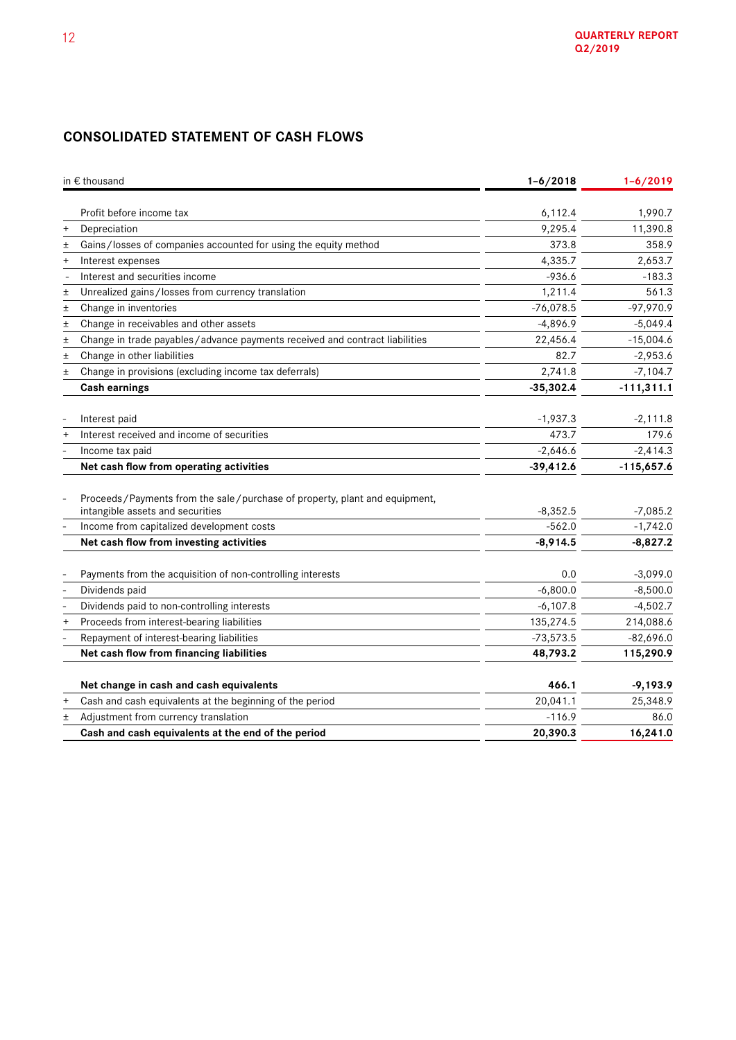# **CONSOLIDATED STATEMENT OF CASH FLOWS**

|        | in € thousand                                                               | $1 - 6/2018$ | $1 - 6/2019$ |  |
|--------|-----------------------------------------------------------------------------|--------------|--------------|--|
|        |                                                                             |              |              |  |
|        | Profit before income tax                                                    | 6,112.4      | 1,990.7      |  |
| $^{+}$ | Depreciation                                                                | 9,295.4      | 11,390.8     |  |
| $\pm$  | Gains/losses of companies accounted for using the equity method             | 373.8        | 358.9        |  |
| $^{+}$ | Interest expenses                                                           | 4,335.7      | 2,653.7      |  |
|        | Interest and securities income                                              | $-936.6$     | $-183.3$     |  |
| $\pm$  | Unrealized gains/losses from currency translation                           | 1,211.4      | 561.3        |  |
| $\pm$  | Change in inventories                                                       | $-76,078.5$  | $-97,970.9$  |  |
| 土      | Change in receivables and other assets                                      | $-4,896.9$   | $-5,049.4$   |  |
| $\pm$  | Change in trade payables/advance payments received and contract liabilities | 22,456.4     | $-15,004.6$  |  |
| $\pm$  | Change in other liabilities                                                 | 82.7         | $-2,953.6$   |  |
| $\pm$  | Change in provisions (excluding income tax deferrals)                       | 2,741.8      | $-7,104.7$   |  |
|        | <b>Cash earnings</b>                                                        | $-35,302.4$  | $-111,311.1$ |  |
|        |                                                                             |              |              |  |
|        | Interest paid                                                               | $-1,937.3$   | $-2,111.8$   |  |
|        | Interest received and income of securities                                  | 473.7        | 179.6        |  |
|        | Income tax paid                                                             | $-2,646.6$   | $-2,414.3$   |  |
|        | Net cash flow from operating activities                                     | $-39,412.6$  | $-115,657.6$ |  |
|        | Proceeds/Payments from the sale/purchase of property, plant and equipment,  |              |              |  |
|        | intangible assets and securities                                            | $-8,352.5$   | $-7,085.2$   |  |
|        | Income from capitalized development costs                                   | $-562.0$     | $-1,742.0$   |  |
|        | Net cash flow from investing activities                                     | $-8,914.5$   | $-8,827.2$   |  |
|        |                                                                             |              |              |  |
|        | Payments from the acquisition of non-controlling interests                  | 0.0          | $-3,099.0$   |  |
|        | Dividends paid                                                              | $-6,800.0$   | $-8,500.0$   |  |
|        | Dividends paid to non-controlling interests                                 | $-6,107.8$   | $-4,502.7$   |  |
| $^{+}$ | Proceeds from interest-bearing liabilities                                  | 135,274.5    | 214,088.6    |  |
|        | Repayment of interest-bearing liabilities                                   | $-73,573.5$  | $-82,696.0$  |  |
|        | Net cash flow from financing liabilities                                    | 48,793.2     | 115,290.9    |  |
|        | Net change in cash and cash equivalents                                     | 466.1        | $-9,193.9$   |  |
| $^{+}$ | Cash and cash equivalents at the beginning of the period                    | 20,041.1     | 25,348.9     |  |
| 土      | Adjustment from currency translation                                        | $-116.9$     | 86.0         |  |
|        | Cash and cash equivalents at the end of the period                          | 20,390.3     | 16,241.0     |  |
|        |                                                                             |              |              |  |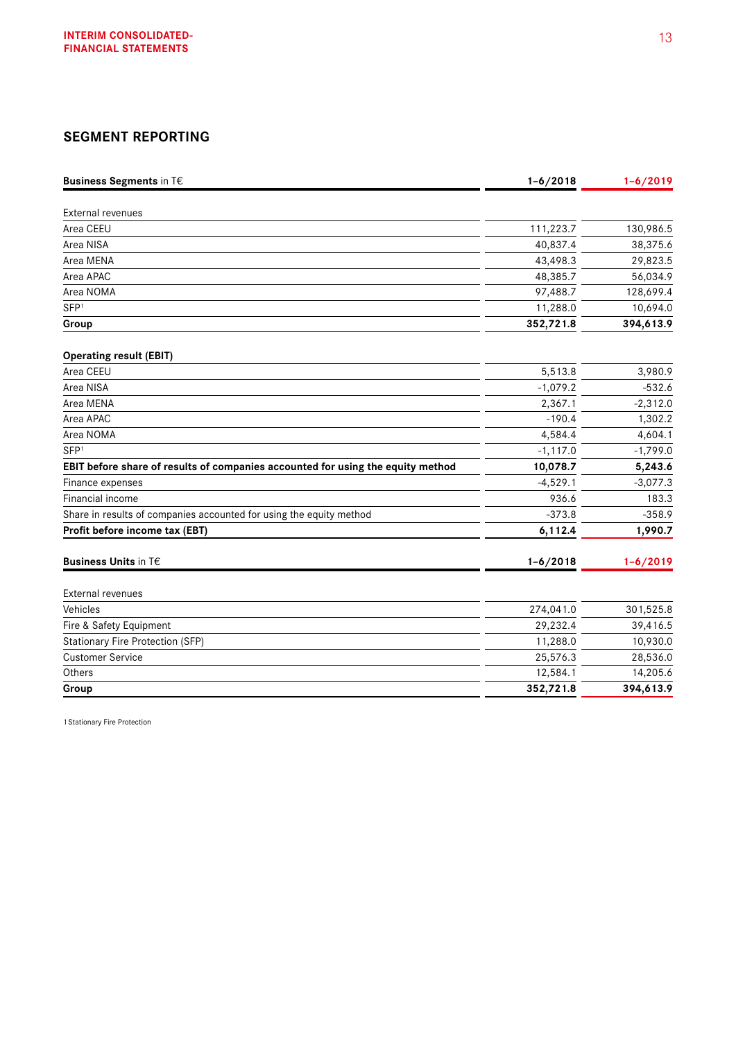# **SEGMENT REPORTING**

| <b>Business Segments in T€</b>                                                  | $1 - 6/2018$ | $1 - 6/2019$ |
|---------------------------------------------------------------------------------|--------------|--------------|
|                                                                                 |              |              |
| <b>External revenues</b>                                                        |              |              |
| Area CEEU                                                                       | 111,223.7    | 130,986.5    |
| Area NISA                                                                       | 40,837.4     | 38,375.6     |
| Area MENA                                                                       | 43,498.3     | 29,823.5     |
| Area APAC                                                                       | 48,385.7     | 56,034.9     |
| Area NOMA                                                                       | 97,488.7     | 128,699.4    |
| SFP <sup>1</sup>                                                                | 11,288.0     | 10,694.0     |
| Group                                                                           | 352,721.8    | 394,613.9    |
| <b>Operating result (EBIT)</b>                                                  |              |              |
| Area CEEU                                                                       | 5,513.8      | 3,980.9      |
| Area NISA                                                                       | $-1,079.2$   | $-532.6$     |
| Area MENA                                                                       | 2,367.1      | $-2,312.0$   |
| Area APAC                                                                       | $-190.4$     | 1,302.2      |
| Area NOMA                                                                       | 4,584.4      | 4,604.1      |
| SFP <sup>1</sup>                                                                | $-1, 117.0$  | $-1,799.0$   |
| EBIT before share of results of companies accounted for using the equity method | 10,078.7     | 5,243.6      |
| Finance expenses                                                                | $-4,529.1$   | $-3,077.3$   |
| <b>Financial income</b>                                                         | 936.6        | 183.3        |
| Share in results of companies accounted for using the equity method             | $-373.8$     | $-358.9$     |
| Profit before income tax (EBT)                                                  | 6,112.4      | 1,990.7      |
| <b>Business Units in T€</b>                                                     | $1 - 6/2018$ | $1 - 6/2019$ |
| <b>External revenues</b>                                                        |              |              |
| Vehicles                                                                        | 274,041.0    | 301,525.8    |
| Fire & Safety Equipment                                                         | 29,232.4     | 39,416.5     |
| <b>Stationary Fire Protection (SFP)</b>                                         | 11,288.0     | 10,930.0     |
| <b>Customer Service</b>                                                         | 25,576.3     | 28,536.0     |
| Others                                                                          | 12,584.1     | 14,205.6     |
| Group                                                                           | 352,721.8    | 394,613.9    |

1 Stationary Fire Protection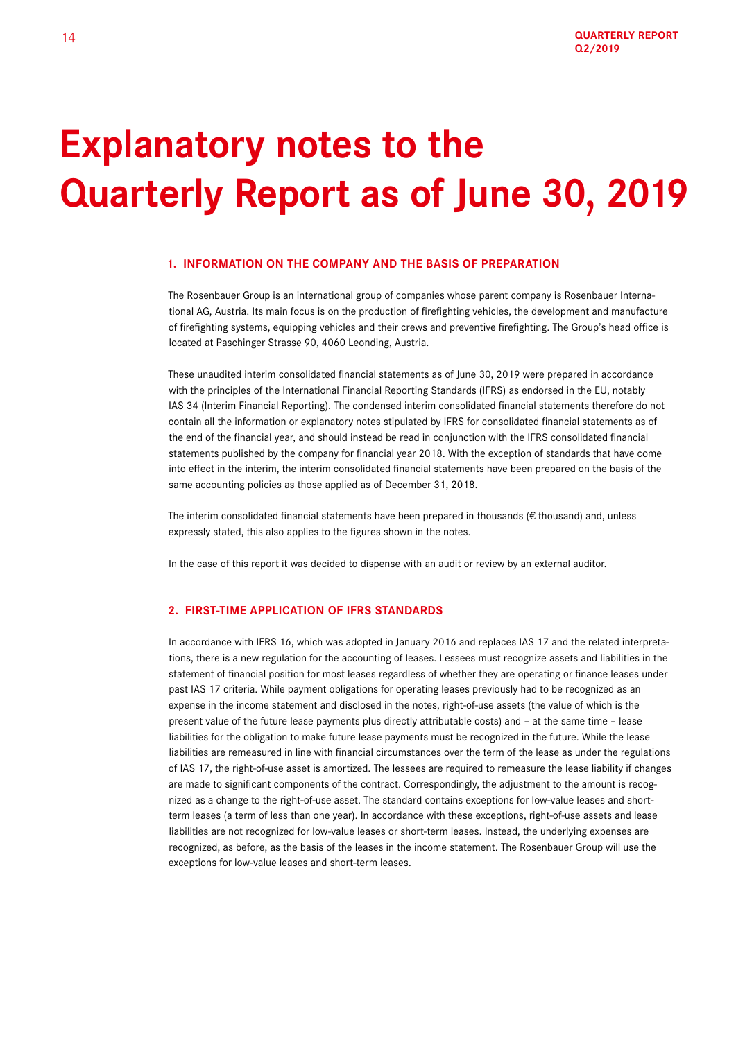# **Explanatory notes to the Quarterly Report as of June 30, 2019**

### **1. INFORMATION ON THE COMPANY AND THE BASIS OF PREPARATION**

The Rosenbauer Group is an international group of companies whose parent company is Rosenbauer International AG, Austria. Its main focus is on the production of firefighting vehicles, the development and manufacture of firefighting systems, equipping vehicles and their crews and preventive firefighting. The Group's head office is located at Paschinger Strasse 90, 4060 Leonding, Austria.

These unaudited interim consolidated financial statements as of June 30, 2019 were prepared in accordance with the principles of the International Financial Reporting Standards (IFRS) as endorsed in the EU, notably IAS 34 (Interim Financial Reporting). The condensed interim consolidated financial statements therefore do not contain all the information or explanatory notes stipulated by IFRS for consolidated financial statements as of the end of the financial year, and should instead be read in conjunction with the IFRS consolidated financial statements published by the company for financial year 2018. With the exception of standards that have come into effect in the interim, the interim consolidated financial statements have been prepared on the basis of the same accounting policies as those applied as of December 31, 2018.

The interim consolidated financial statements have been prepared in thousands ( $\epsilon$  thousand) and, unless expressly stated, this also applies to the figures shown in the notes.

In the case of this report it was decided to dispense with an audit or review by an external auditor.

## **2. FIRST-TIME APPLICATION OF IFRS STANDARDS**

In accordance with IFRS 16, which was adopted in January 2016 and replaces IAS 17 and the related interpretations, there is a new regulation for the accounting of leases. Lessees must recognize assets and liabilities in the statement of financial position for most leases regardless of whether they are operating or finance leases under past IAS 17 criteria. While payment obligations for operating leases previously had to be recognized as an expense in the income statement and disclosed in the notes, right-of-use assets (the value of which is the present value of the future lease payments plus directly attributable costs) and – at the same time – lease liabilities for the obligation to make future lease payments must be recognized in the future. While the lease liabilities are remeasured in line with financial circumstances over the term of the lease as under the regulations of IAS 17, the right-of-use asset is amortized. The lessees are required to remeasure the lease liability if changes are made to significant components of the contract. Correspondingly, the adjustment to the amount is recognized as a change to the right-of-use asset. The standard contains exceptions for low-value leases and shortterm leases (a term of less than one year). In accordance with these exceptions, right-of-use assets and lease liabilities are not recognized for low-value leases or short-term leases. Instead, the underlying expenses are recognized, as before, as the basis of the leases in the income statement. The Rosenbauer Group will use the exceptions for low-value leases and short-term leases.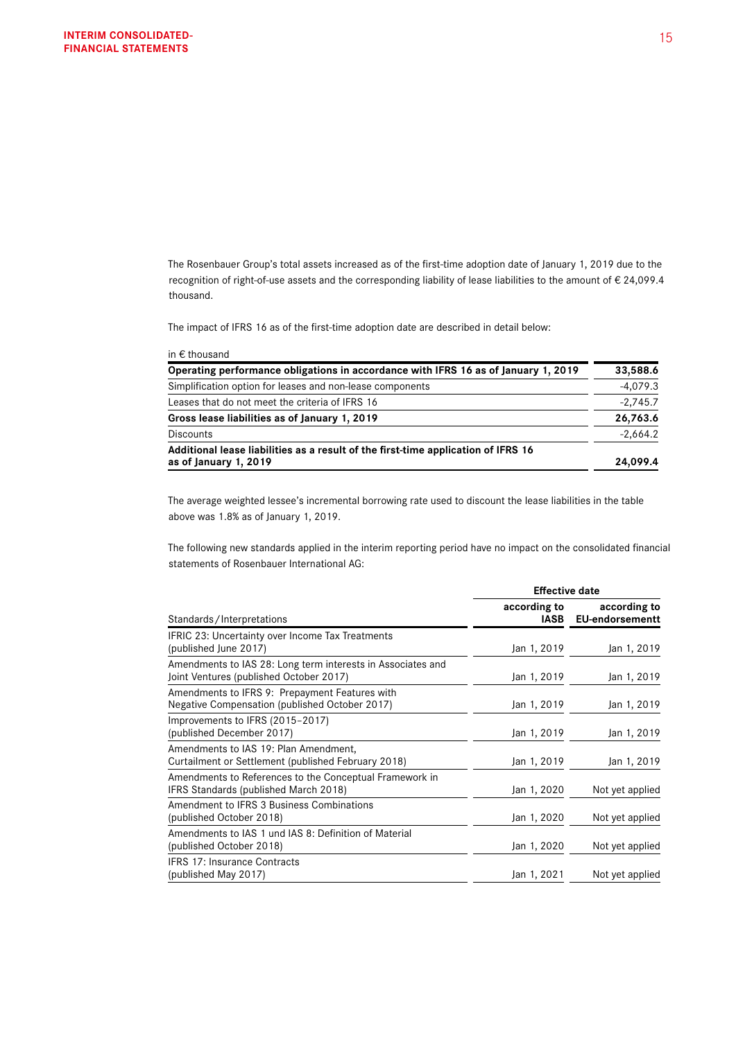The Rosenbauer Group's total assets increased as of the first-time adoption date of January 1, 2019 due to the recognition of right-of-use assets and the corresponding liability of lease liabilities to the amount of € 24,099.4 thousand.

The impact of IFRS 16 as of the first-time adoption date are described in detail below:

| in $\epsilon$ thousand                                                                                     |            |
|------------------------------------------------------------------------------------------------------------|------------|
| Operating performance obligations in accordance with IFRS 16 as of January 1, 2019                         | 33,588.6   |
| Simplification option for leases and non-lease components                                                  | $-4,079.3$ |
| Leases that do not meet the criteria of IFRS 16                                                            | $-2,745.7$ |
| Gross lease liabilities as of January 1, 2019                                                              | 26,763.6   |
| <b>Discounts</b>                                                                                           | $-2,664.2$ |
| Additional lease liabilities as a result of the first-time application of IFRS 16<br>as of January 1, 2019 | 24,099.4   |

The average weighted lessee's incremental borrowing rate used to discount the lease liabilities in the table above was 1.8% as of January 1, 2019.

The following new standards applied in the interim reporting period have no impact on the consolidated financial statements of Rosenbauer International AG:

|                                                                                                        | <b>Effective date</b> |                                        |  |
|--------------------------------------------------------------------------------------------------------|-----------------------|----------------------------------------|--|
| Standards/Interpretations                                                                              | according to<br>IASB  | according to<br><b>EU-endorsementt</b> |  |
| IFRIC 23: Uncertainty over Income Tax Treatments<br>(published June 2017)                              | Jan 1, 2019           | Jan 1, 2019                            |  |
| Amendments to IAS 28: Long term interests in Associates and<br>Joint Ventures (published October 2017) | Jan 1, 2019           | Jan 1, 2019                            |  |
| Amendments to IFRS 9: Prepayment Features with<br>Negative Compensation (published October 2017)       | Jan 1, 2019           | Jan 1, 2019                            |  |
| Improvements to IFRS (2015-2017)<br>(published December 2017)                                          | Jan 1, 2019           | Jan 1, 2019                            |  |
| Amendments to IAS 19: Plan Amendment,<br>Curtailment or Settlement (published February 2018)           | Jan 1, 2019           | Jan 1, 2019                            |  |
| Amendments to References to the Conceptual Framework in<br>IFRS Standards (published March 2018)       | Jan 1, 2020           | Not yet applied                        |  |
| Amendment to IFRS 3 Business Combinations<br>(published October 2018)                                  | Jan 1, 2020           | Not yet applied                        |  |
| Amendments to IAS 1 und IAS 8: Definition of Material<br>(published October 2018)                      | Jan 1, 2020           | Not yet applied                        |  |
| <b>IFRS 17: Insurance Contracts</b><br>(published May 2017)                                            | Jan 1, 2021           | Not yet applied                        |  |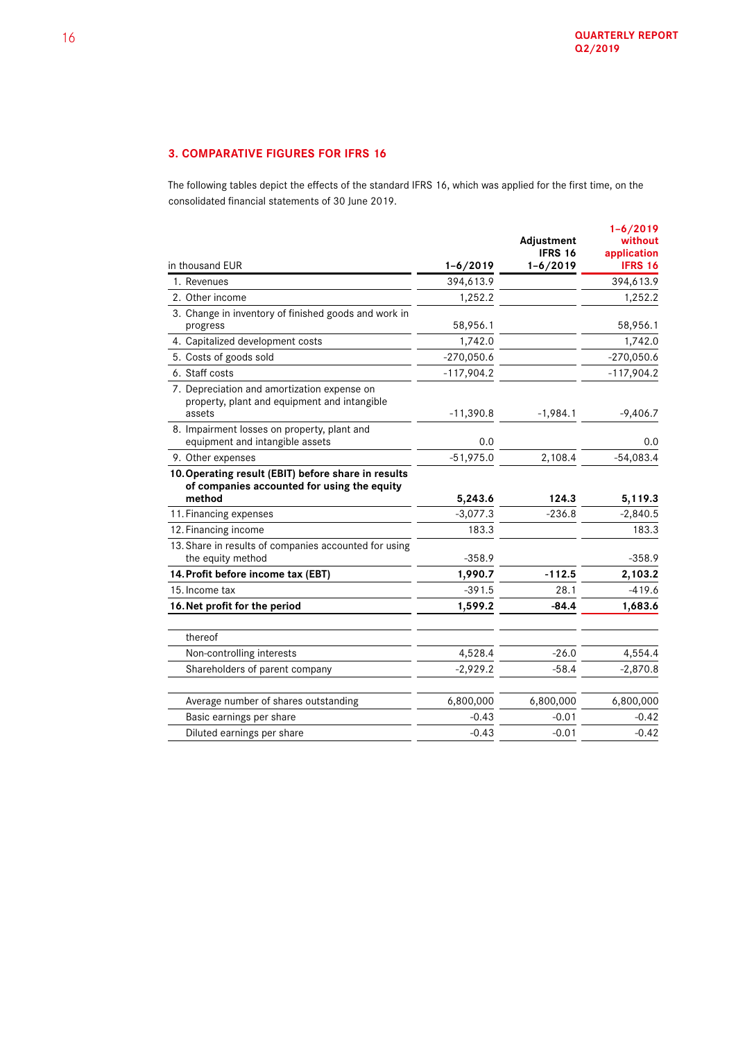# **3. COMPARATIVE FIGURES FOR IFRS 16**

The following tables depict the effects of the standard IFRS 16, which was applied for the first time, on the consolidated financial statements of 30 June 2019.

| in thousand EUR                                                                                              | $1 - 6/2019$ | Adjustment<br><b>IFRS 16</b><br>$1 - 6/2019$ | $1 - 6/2019$<br>without<br>application<br><b>IFRS 16</b> |
|--------------------------------------------------------------------------------------------------------------|--------------|----------------------------------------------|----------------------------------------------------------|
| 1. Revenues                                                                                                  | 394,613.9    |                                              | 394,613.9                                                |
| 2. Other income                                                                                              | 1,252.2      |                                              | 1,252.2                                                  |
| 3. Change in inventory of finished goods and work in<br>progress                                             | 58,956.1     |                                              | 58,956.1                                                 |
| 4. Capitalized development costs                                                                             | 1,742.0      |                                              | 1,742.0                                                  |
| 5. Costs of goods sold                                                                                       | $-270,050.6$ |                                              | $-270,050.6$                                             |
| 6. Staff costs                                                                                               | $-117,904.2$ |                                              | $-117,904.2$                                             |
| 7. Depreciation and amortization expense on<br>property, plant and equipment and intangible<br>assets        | $-11,390.8$  | $-1,984.1$                                   | $-9,406.7$                                               |
| 8. Impairment losses on property, plant and<br>equipment and intangible assets                               | 0.0          |                                              | 0.0                                                      |
| 9. Other expenses                                                                                            | $-51,975.0$  | 2,108.4                                      | $-54,083.4$                                              |
| 10. Operating result (EBIT) before share in results<br>of companies accounted for using the equity<br>method | 5,243.6      | 124.3                                        | 5, 119.3                                                 |
| 11. Financing expenses                                                                                       | $-3,077.3$   | $-236.8$                                     | $-2,840.5$                                               |
| 12. Financing income                                                                                         | 183.3        |                                              | 183.3                                                    |
| 13. Share in results of companies accounted for using<br>the equity method                                   | $-358.9$     |                                              | $-358.9$                                                 |
| 14. Profit before income tax (EBT)                                                                           | 1,990.7      | $-112.5$                                     | 2,103.2                                                  |
| 15. Income tax                                                                                               | $-391.5$     | 28.1                                         | $-419.6$                                                 |
| 16. Net profit for the period                                                                                | 1,599.2      | $-84.4$                                      | 1,683.6                                                  |
|                                                                                                              |              |                                              |                                                          |
| thereof                                                                                                      |              |                                              |                                                          |
| Non-controlling interests                                                                                    | 4,528.4      | $-26.0$                                      | 4,554.4                                                  |
| Shareholders of parent company                                                                               | $-2,929.2$   | $-58.4$                                      | $-2,870.8$                                               |
| Average number of shares outstanding                                                                         | 6,800,000    | 6,800,000                                    | 6,800,000                                                |
| Basic earnings per share                                                                                     | $-0.43$      | $-0.01$                                      | $-0.42$                                                  |
| Diluted earnings per share                                                                                   | $-0.43$      | $-0.01$                                      | $-0.42$                                                  |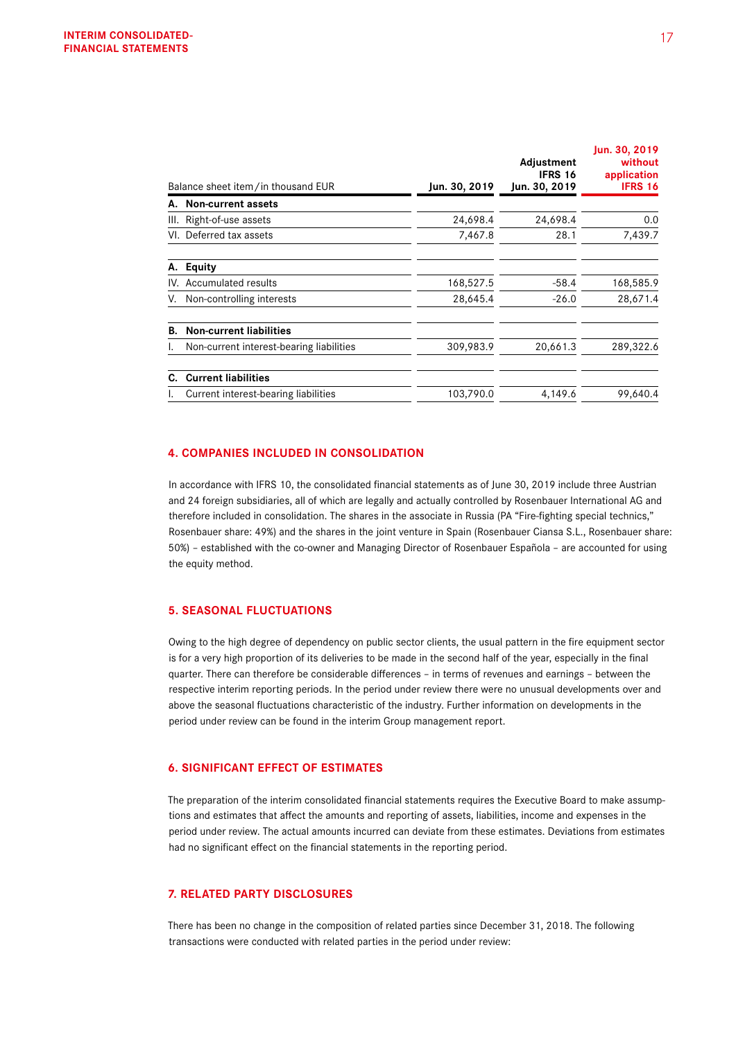|     | Balance sheet item/in thousand EUR       |               | Adjustment<br><b>IFRS 16</b><br>Jun. 30, 2019 | Jun. 30, 2019<br>without<br>application<br><b>IFRS 16</b> |
|-----|------------------------------------------|---------------|-----------------------------------------------|-----------------------------------------------------------|
|     |                                          | Jun. 30, 2019 |                                               |                                                           |
| А.  | <b>Non-current assets</b>                |               |                                               |                                                           |
| Ш.  | Right-of-use assets                      | 24,698.4      | 24,698.4                                      | 0.0                                                       |
|     | VI. Deferred tax assets                  | 7,467.8       | 28.1                                          | 7,439.7                                                   |
| А.  | <b>Equity</b>                            |               |                                               |                                                           |
| IV. | Accumulated results                      | 168,527.5     | $-58.4$                                       | 168,585.9                                                 |
|     | Non-controlling interests                | 28,645.4      | $-26.0$                                       | 28,671.4                                                  |
| В.  | <b>Non-current liabilities</b>           |               |                                               |                                                           |
|     | Non-current interest-bearing liabilities | 309,983.9     | 20,661.3                                      | 289,322.6                                                 |
| C.  | <b>Current liabilities</b>               |               |                                               |                                                           |
|     | Current interest-bearing liabilities     | 103,790.0     | 4,149.6                                       | 99,640.4                                                  |

# **4. COMPANIES INCLUDED IN CONSOLIDATION**

In accordance with IFRS 10, the consolidated financial statements as of June 30, 2019 include three Austrian and 24 foreign subsidiaries, all of which are legally and actually controlled by Rosenbauer International AG and therefore included in consolidation. The shares in the associate in Russia (PA "Fire-fighting special technics," Rosenbauer share: 49%) and the shares in the joint venture in Spain (Rosenbauer Ciansa S.L., Rosenbauer share: 50%) – established with the co-owner and Managing Director of Rosenbauer Española – are accounted for using the equity method.

### **5. SEASONAL FLUCTUATIONS**

Owing to the high degree of dependency on public sector clients, the usual pattern in the fire equipment sector is for a very high proportion of its deliveries to be made in the second half of the year, especially in the final quarter. There can therefore be considerable differences – in terms of revenues and earnings – between the respective interim reporting periods. In the period under review there were no unusual developments over and above the seasonal fluctuations characteristic of the industry. Further information on developments in the period under review can be found in the interim Group management report.

### **6. SIGNIFICANT EFFECT OF ESTIMATES**

The preparation of the interim consolidated financial statements requires the Executive Board to make assumptions and estimates that affect the amounts and reporting of assets, liabilities, income and expenses in the period under review. The actual amounts incurred can deviate from these estimates. Deviations from estimates had no significant effect on the financial statements in the reporting period.

### **7. RELATED PARTY DISCLOSURES**

There has been no change in the composition of related parties since December 31, 2018. The following transactions were conducted with related parties in the period under review: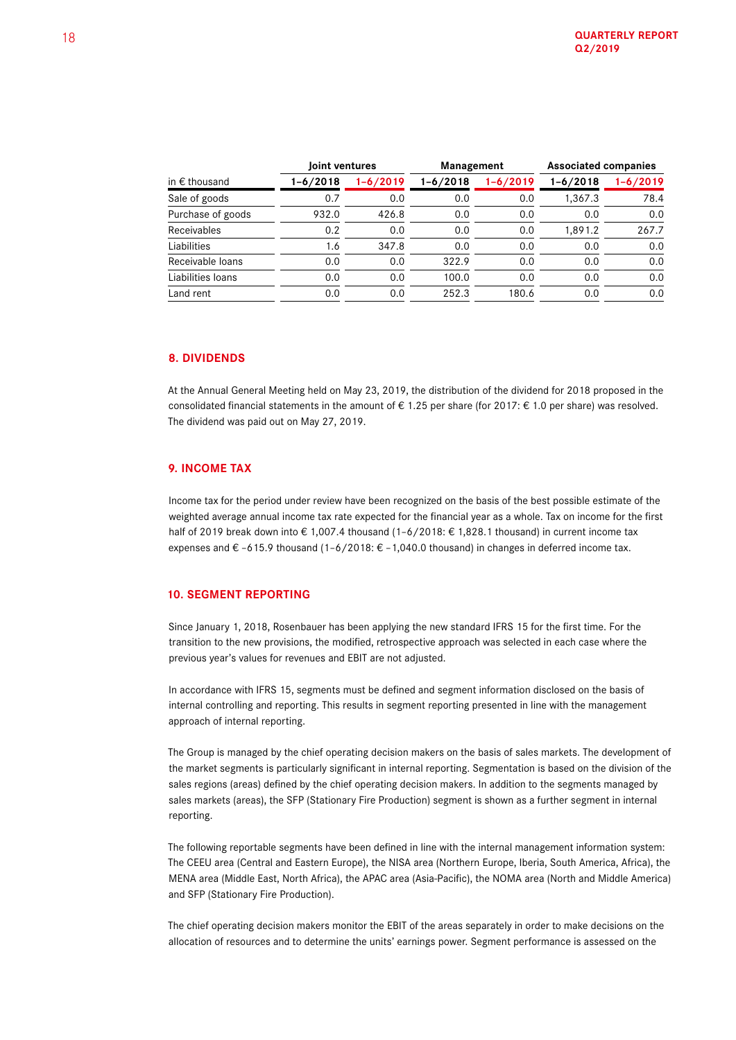|                             |          | Joint ventures |              | Management |          | <b>Associated companies</b> |  |
|-----------------------------|----------|----------------|--------------|------------|----------|-----------------------------|--|
| in $\bm{\epsilon}$ thousand | 1-6/2018 | $1 - 6/2019$   | $1 - 6/2018$ | 1-6/2019   | 1-6/2018 | $1 - 6/2019$                |  |
| Sale of goods               | 0.7      | 0.0            | 0.0          | 0.0        | 1,367.3  | 78.4                        |  |
| Purchase of goods           | 932.0    | 426.8          | 0.0          | 0.0        | 0.0      | 0.0                         |  |
| <b>Receivables</b>          | 0.2      | 0.0            | 0.0          | 0.0        | 1,891.2  | 267.7                       |  |
| Liabilities                 | 1.6      | 347.8          | 0.0          | 0.0        | 0.0      | 0.0                         |  |
| Receivable loans            | 0.0      | 0.0            | 322.9        | 0.0        | 0.0      | 0.0                         |  |
| Liabilities Ioans           | 0.0      | 0.0            | 100.0        | 0.0        | 0.0      | 0.0                         |  |
| Land rent                   | 0.0      | 0.0            | 252.3        | 180.6      | 0.0      | 0.0                         |  |

## **8. DIVIDENDS**

At the Annual General Meeting held on May 23, 2019, the distribution of the dividend for 2018 proposed in the consolidated financial statements in the amount of  $\epsilon$  1.25 per share (for 2017:  $\epsilon$  1.0 per share) was resolved. The dividend was paid out on May 27, 2019.

## **9. INCOME TAX**

Income tax for the period under review have been recognized on the basis of the best possible estimate of the weighted average annual income tax rate expected for the financial year as a whole. Tax on income for the first half of 2019 break down into € 1,007.4 thousand (1–6/2018: € 1,828.1 thousand) in current income tax expenses and €-615.9 thousand (1-6/2018: €-1,040.0 thousand) in changes in deferred income tax.

## **10. SEGMENT REPORTING**

Since January 1, 2018, Rosenbauer has been applying the new standard IFRS 15 for the first time. For the transition to the new provisions, the modified, retrospective approach was selected in each case where the previous year's values for revenues and EBIT are not adjusted.

In accordance with IFRS 15, segments must be defined and segment information disclosed on the basis of internal controlling and reporting. This results in segment reporting presented in line with the management approach of internal reporting.

The Group is managed by the chief operating decision makers on the basis of sales markets. The development of the market segments is particularly significant in internal reporting. Segmentation is based on the division of the sales regions (areas) defined by the chief operating decision makers. In addition to the segments managed by sales markets (areas), the SFP (Stationary Fire Production) segment is shown as a further segment in internal reporting.

The following reportable segments have been defined in line with the internal management information system: The CEEU area (Central and Eastern Europe), the NISA area (Northern Europe, Iberia, South America, Africa), the MENA area (Middle East, North Africa), the APAC area (Asia-Pacific), the NOMA area (North and Middle America) and SFP (Stationary Fire Production).

The chief operating decision makers monitor the EBIT of the areas separately in order to make decisions on the allocation of resources and to determine the units' earnings power. Segment performance is assessed on the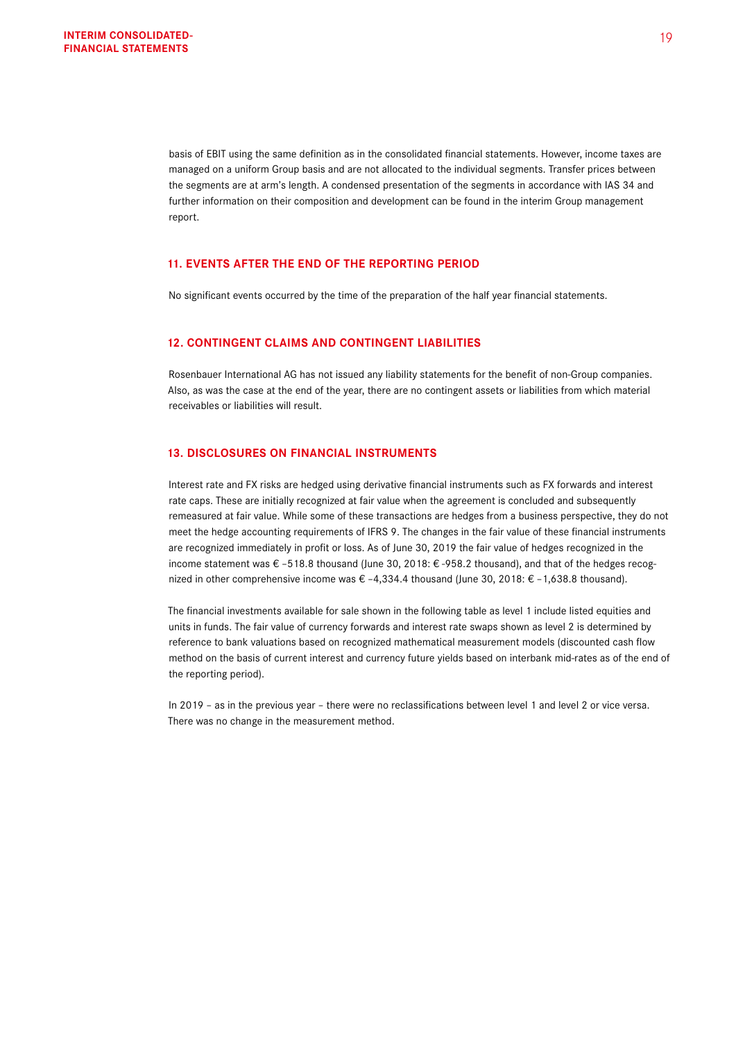basis of EBIT using the same definition as in the consolidated financial statements. However, income taxes are managed on a uniform Group basis and are not allocated to the individual segments. Transfer prices between the segments are at arm's length. A condensed presentation of the segments in accordance with IAS 34 and further information on their composition and development can be found in the interim Group management report.

### **11. EVENTS AFTER THE END OF THE REPORTING PERIOD**

No significant events occurred by the time of the preparation of the half year financial statements.

# **12. CONTINGENT CLAIMS AND CONTINGENT LIABILITIES**

Rosenbauer International AG has not issued any liability statements for the benefit of non-Group companies. Also, as was the case at the end of the year, there are no contingent assets or liabilities from which material receivables or liabilities will result.

# **13. DISCLOSURES ON FINANCIAL INSTRUMENTS**

Interest rate and FX risks are hedged using derivative financial instruments such as FX forwards and interest rate caps. These are initially recognized at fair value when the agreement is concluded and subsequently remeasured at fair value. While some of these transactions are hedges from a business perspective, they do not meet the hedge accounting requirements of IFRS 9. The changes in the fair value of these financial instruments are recognized immediately in profit or loss. As of June 30, 2019 the fair value of hedges recognized in the income statement was € -518.8 thousand (June 30, 2018: € -958.2 thousand), and that of the hedges recognized in other comprehensive income was € –4,334.4 thousand (June 30, 2018: € –1,638.8 thousand).

The financial investments available for sale shown in the following table as level 1 include listed equities and units in funds. The fair value of currency forwards and interest rate swaps shown as level 2 is determined by reference to bank valuations based on recognized mathematical measurement models (discounted cash flow method on the basis of current interest and currency future yields based on interbank mid-rates as of the end of the reporting period).

In 2019 – as in the previous year – there were no reclassifications between level 1 and level 2 or vice versa. There was no change in the measurement method.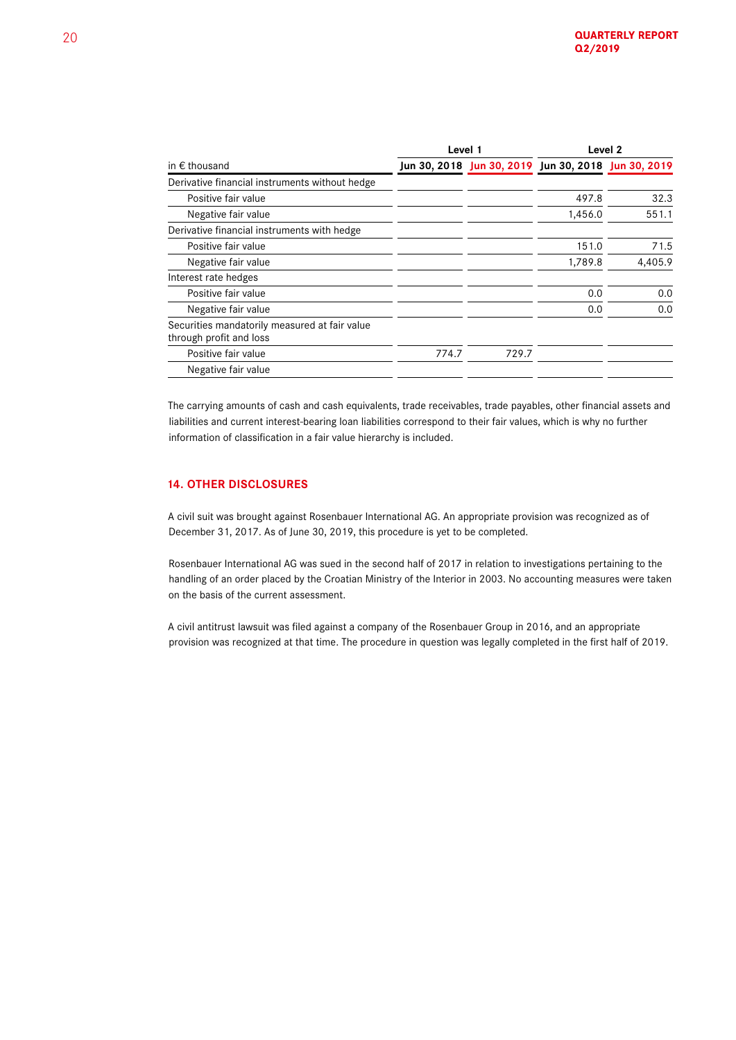|                                                                          |       | Level 1                                             | Level 2 |         |
|--------------------------------------------------------------------------|-------|-----------------------------------------------------|---------|---------|
| in $\epsilon$ thousand                                                   |       | Jun 30, 2018 Jun 30, 2019 Jun 30, 2018 Jun 30, 2019 |         |         |
| Derivative financial instruments without hedge                           |       |                                                     |         |         |
| Positive fair value                                                      |       |                                                     | 497.8   | 32.3    |
| Negative fair value                                                      |       |                                                     | 1,456.0 | 551.1   |
| Derivative financial instruments with hedge                              |       |                                                     |         |         |
| Positive fair value                                                      |       |                                                     | 151.0   | 71.5    |
| Negative fair value                                                      |       |                                                     | 1,789.8 | 4.405.9 |
| Interest rate hedges                                                     |       |                                                     |         |         |
| Positive fair value                                                      |       |                                                     | 0.0     | 0.0     |
| Negative fair value                                                      |       |                                                     | 0.0     | 0.0     |
| Securities mandatorily measured at fair value<br>through profit and loss |       |                                                     |         |         |
| Positive fair value                                                      | 774.7 | 729.7                                               |         |         |
| Negative fair value                                                      |       |                                                     |         |         |
|                                                                          |       |                                                     |         |         |

The carrying amounts of cash and cash equivalents, trade receivables, trade payables, other financial assets and liabilities and current interest-bearing loan liabilities correspond to their fair values, which is why no further information of classification in a fair value hierarchy is included.

# **14. OTHER DISCLOSURES**

A civil suit was brought against Rosenbauer International AG. An appropriate provision was recognized as of December 31, 2017. As of June 30, 2019, this procedure is yet to be completed.

Rosenbauer International AG was sued in the second half of 2017 in relation to investigations pertaining to the handling of an order placed by the Croatian Ministry of the Interior in 2003. No accounting measures were taken on the basis of the current assessment.

A civil antitrust lawsuit was filed against a company of the Rosenbauer Group in 2016, and an appropriate provision was recognized at that time. The procedure in question was legally completed in the first half of 2019.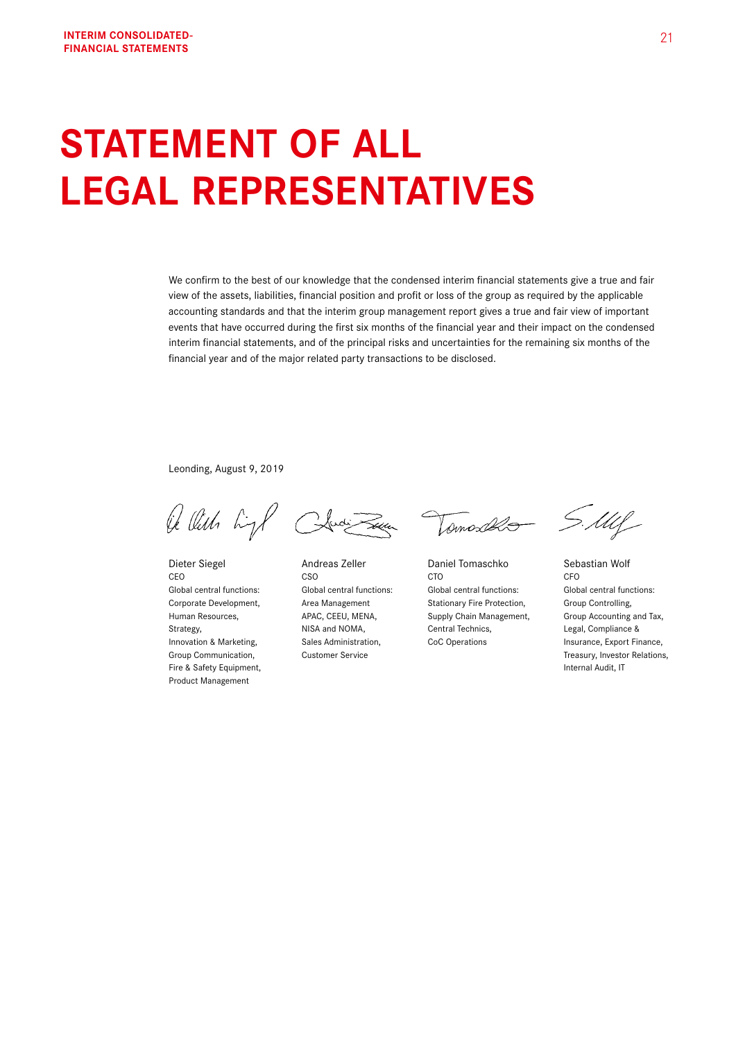# **STATEMENT OF ALL LEGAL REPRESENTATIVES**

We confirm to the best of our knowledge that the condensed interim financial statements give a true and fair view of the assets, liabilities, financial position and profit or loss of the group as required by the applicable accounting standards and that the interim group management report gives a true and fair view of important events that have occurred during the first six months of the financial year and their impact on the condensed interim financial statements, and of the principal risks and uncertainties for the remaining six months of the financial year and of the major related party transactions to be disclosed.

Leonding, August 9, 2019

Of Olith high Clusi Town

Fire & Safety Equipment, **Internal Audit, IT** Product Management

Tomosolo SMlf

Dieter Siegel **Andreas Zeller** Daniel Tomaschko Sebastian Wolf CEO CSO CTO CFO Global central functions: Global central functions: Global central functions: Global central functions: Corporate Development, Area Management Stationary Fire Protection, Group Controlling, Strategy, Strategy, Strategy, MISA and NOMA, Central Technics, Central Technics, Compliance &

Human Resources, **APAC, CEEU, MENA,** Supply Chain Management, Group Accounting and Tax, Innovation & Marketing, Sales Administration, CoC Operations Insurance, Export Finance, Group Communication, Customer Service Customer Service Customer Service Customer Service Customer Service Customer Service Customer Service Customer Service Customer Service Customer Service Customer Service Customer Servi